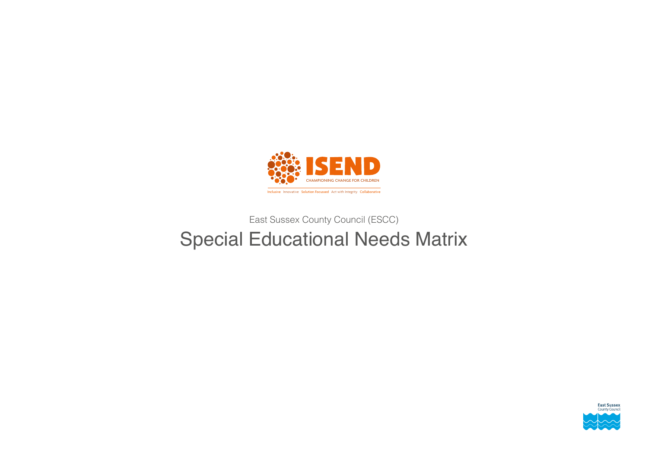

# East Sussex County Council (ESCC) Special Educational Needs Matrix

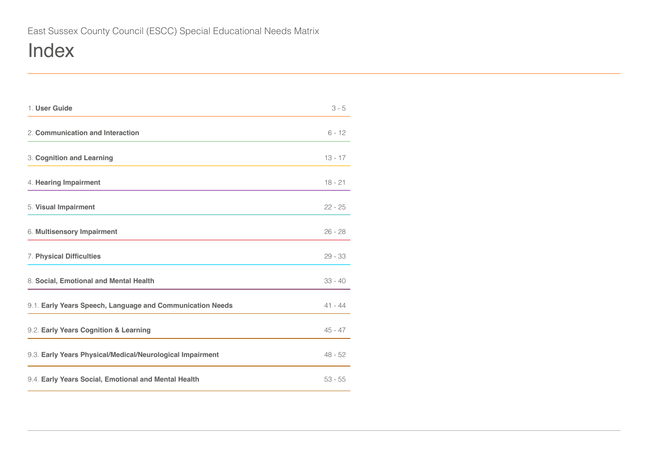# Index

| 1. User Guide                                             | $3 - 5$   |
|-----------------------------------------------------------|-----------|
| 2. Communication and Interaction                          | $6 - 12$  |
| 3. Cognition and Learning                                 | $13 - 17$ |
| 4. Hearing Impairment                                     | $18 - 21$ |
| 5. Visual Impairment                                      | $22 - 25$ |
| 6. Multisensory Impairment                                | $26 - 28$ |
| 7. Physical Difficulties                                  | $29 - 33$ |
| 8. Social, Emotional and Mental Health                    | $33 - 40$ |
| 9.1. Early Years Speech, Language and Communication Needs | $41 - 44$ |
| 9.2. Early Years Cognition & Learning                     | $45 - 47$ |
| 9.3. Early Years Physical/Medical/Neurological Impairment | $48 - 52$ |
| 9.4. Early Years Social, Emotional and Mental Health      | $53 - 55$ |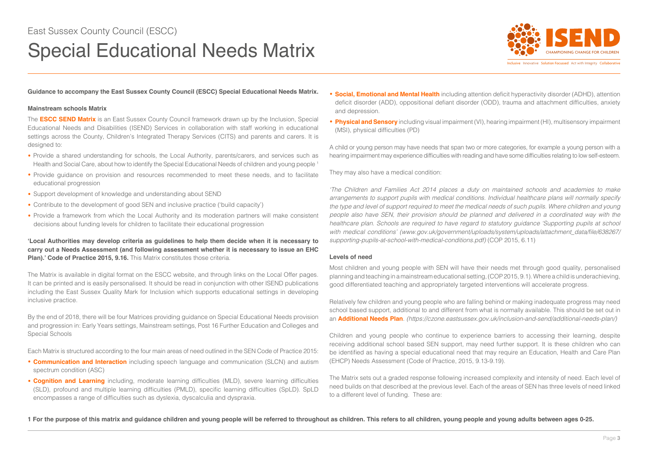# <span id="page-2-0"></span>Special Educational Needs Matrix



**Guidance to accompany the East Sussex County Council (ESCC) Special Educational Needs Matrix.**

### **Mainstream schools Matrix**

The **ESCC SEND Matrix** is an East Sussex County Council framework drawn up by the Inclusion, Special Educational Needs and Disabilities (ISEND) Services in collaboration with staff working in educational settings across the County, Children's Integrated Therapy Services (CITS) and parents and carers. It is designed to:

- Provide a shared understanding for schools, the Local Authority, parents/carers, and services such as Health and Social Care, about how to identify the Special Educational Needs of children and young people<sup>1</sup>
- Provide guidance on provision and resources recommended to meet these needs, and to facilitate educational progression
- Support development of knowledge and understanding about SEND
- Contribute to the development of good SEN and inclusive practice ('build capacity')
- Provide a framework from which the Local Authority and its moderation partners will make consistent decisions about funding levels for children to facilitate their educational progression

**'Local Authorities may develop criteria as guidelines to help them decide when it is necessary to carry out a Needs Assessment (and following assessment whether it is necessary to issue an EHC Plan).' Code of Practice 2015, 9.16.** This Matrix constitutes those criteria.

The Matrix is available in digital format on the ESCC website, and through links on the Local Offer pages. It can be printed and is easily personalised. It should be read in conjunction with other ISEND publications including the East Sussex Quality Mark for Inclusion which supports educational settings in developing inclusive practice.

By the end of 2018, there will be four Matrices providing guidance on Special Educational Needs provision and progression in: Early Years settings, Mainstream settings, Post 16 Further Education and Colleges and Special Schools

Each Matrix is structured according to the four main areas of need outlined in the SEN Code of Practice 2015:

- **Communication and Interaction** including speech language and communication (SLCN) and autism spectrum condition (ASC)
- **Cognition and Learning** including, moderate learning difficulties (MLD), severe learning difficulties (SLD), profound and multiple learning difficulties (PMLD), specific learning difficulties (SpLD). SpLD encompasses a range of difficulties such as dyslexia, dyscalculia and dyspraxia.
- **Social, Emotional and Mental Health** including attention deficit hyperactivity disorder (ADHD), attention deficit disorder (ADD), oppositional defiant disorder (ODD), trauma and attachment difficulties, anxiety and depression.
- **Physical and Sensory** including visual impairment (VI), hearing impairment (HI), multisensory impairment (MSI), physical difficulties (PD)

A child or young person may have needs that span two or more categories, for example a young person with a hearing impairment may experience difficulties with reading and have some difficulties relating to low self-esteem.

They may also have a medical condition:

*'The Children and Families Act 2014 places a duty on maintained schools and academies to make arrangements to support pupils with medical conditions. Individual healthcare plans will normally specify the type and level of support required to meet the medical needs of such pupils. Where children and young people also have SEN, their provision should be planned and delivered in a coordinated way with the healthcare plan. Schools are required to have regard to statutory guidance 'Supporting pupils at school*  with medical conditions' (www.gov.uk/government/uploads/system/uploads/attachment\_data/file/638267/ *supporting-pupils-at-school-with-medical-conditions.pdf)* (COP 2015, 6.11)

## **Levels of need**

Most children and young people with SEN will have their needs met through good quality, personalised planning and teaching in a mainstream educational setting, (COP 2015, 9.1). Where a child is underachieving, good differentiated teaching and appropriately targeted interventions will accelerate progress.

Relatively few children and young people who are falling behind or making inadequate progress may need school based support, additional to and different from what is normally available. This should be set out in an **Additional Needs Plan**. *(https://czone.eastsussex.gov.uk/inclusion-and-send/additional-needs-plan/)*

Children and young people who continue to experience barriers to accessing their learning, despite receiving additional school based SEN support, may need further support. It is these children who can be identified as having a special educational need that may require an Education, Health and Care Plan (EHCP) Needs Assessment (Code of Practice, 2015, 9.13-9.19).

The Matrix sets out a graded response following increased complexity and intensity of need. Each level of need builds on that described at the previous level. Each of the areas of SEN has three levels of need linked to a different level of funding. These are:

**1 For the purpose of this matrix and guidance children and young people will be referred to throughout as children. This refers to all children, young people and young adults between ages 0-25.**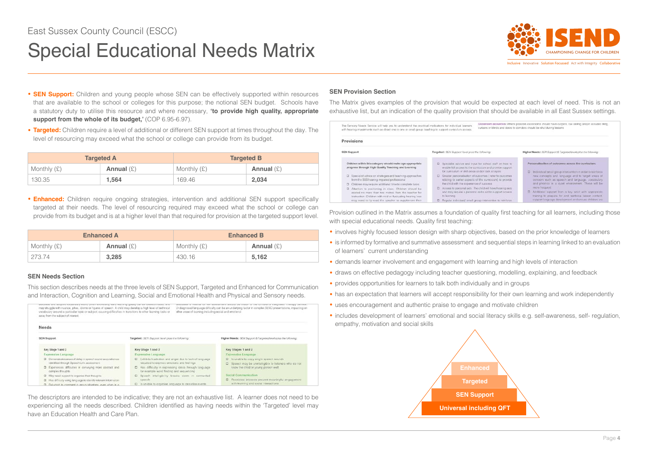# Special Educational Needs Matrix



Inclusive Innovative Solution Focussed Act with Integrity Collaborative

- **SEN Support:** Children and young people whose SEN can be effectively supported within resources that are available to the school or colleges for this purpose; the notional SEN budget. Schools have a statutory duty to utilise this resource and where necessary, **'to provide high quality, appropriate**  support from the whole of its budget,' (COP 6.95-6.97).
- **Targeted:** Children require a level of additional or different SEN support at times throughout the day. The level of resourcing may exceed what the school or college can provide from its budget.

|               | <b>Targeted A</b> | <b>Targeted B</b> |              |
|---------------|-------------------|-------------------|--------------|
| Monthly $(E)$ | Annual $(E)$      | Monthly $(E)$     | Annual $(E)$ |
| 130.35        | 1.564             | 169.46            | 2,034        |

**• Enhanced:** Children require ongoing strategies, intervention and additional SEN support specifically targeted at their needs. The level of resourcing required may exceed what the school or college can provide from its budget and is at a higher level than that required for provision at the targeted support level.

|               | <b>Enhanced A</b> | <b>Enhanced B</b> |              |
|---------------|-------------------|-------------------|--------------|
| Monthly $(E)$ | Annual $(E)$      | Monthly $(E)$     | Annual $(E)$ |
| 273.74        | 3.285             | 430.16            | 5.162        |

## **SEN Needs Section**

This section describes needs at the three levels of SEN Support, Targeted and Enhanced for Communication and Interaction, Cognition and Learning, Social and Emotional Health and Physical and Sensory needs.

| MONTHLINE REST MANAGEMENT STANDARD & MARKET STANDARD AND MANAGEMENT AND LODGED AND ANNOUNCED MANAGEMENT OF ART<br>may struggle with nuance, jokes, idioms or ligures of speech. A child may develop a high level of technical<br>vocabulary around a particular topic or subject, causing difficultes in transitions to other learning tasks or<br>away from the subject of interest. |                                                                                                         | other areas of learning including social and emotional. | SUPERVISHTEN STANDS ON TIMEST OF THE SUPERVISHTS WINNERST FINDS TO AN USE<br>Undiagnosed language difficulty can be an underlying factor in complex SEND presentations, impacting on |
|---------------------------------------------------------------------------------------------------------------------------------------------------------------------------------------------------------------------------------------------------------------------------------------------------------------------------------------------------------------------------------------|---------------------------------------------------------------------------------------------------------|---------------------------------------------------------|--------------------------------------------------------------------------------------------------------------------------------------------------------------------------------------|
| Needs                                                                                                                                                                                                                                                                                                                                                                                 |                                                                                                         |                                                         |                                                                                                                                                                                      |
| <b>SEN Support</b>                                                                                                                                                                                                                                                                                                                                                                    | Targeted: SEN Support level plus the following:                                                         |                                                         | Higher Needs: SEN Support & Targeted levels plus the following.                                                                                                                      |
| Key Stage 1 and 2                                                                                                                                                                                                                                                                                                                                                                     | Key Stage 1 and 2                                                                                       |                                                         | Key Stages 1 and 2                                                                                                                                                                   |
| Expressive Language                                                                                                                                                                                                                                                                                                                                                                   | Expressive Language                                                                                     |                                                         | Expressive Language                                                                                                                                                                  |
| [3] Demonstrates areas of delay in speech sound accursition as<br>identified through Speech Link assessment                                                                                                                                                                                                                                                                           | El Exhibits frustration and anger due to lack of language<br>required to express emotions and feelings: |                                                         | E is unable to copy single speech sounds<br>D Speech may be unintelligible to listeners who do not                                                                                   |
| D Experiences difficulties in conveying more abstract and<br>complex thoughts                                                                                                                                                                                                                                                                                                         | D Has difficulty in expressing ideas through language<br>for example word finding and sequencing.       |                                                         | know the child-or young person well                                                                                                                                                  |
| D May need support to organise their thoughts                                                                                                                                                                                                                                                                                                                                         | E Speech intelligibility breaks down in connected                                                       |                                                         | Social Communication                                                                                                                                                                 |
| D Has difficulty using language to identify relevant information                                                                                                                                                                                                                                                                                                                      | speech                                                                                                  |                                                         | C Restricted interests prevent meaningful engagement                                                                                                                                 |
| El Belurtant to comment in genup situations, even when in a                                                                                                                                                                                                                                                                                                                           | D Is unable to organize language to describe events.                                                    |                                                         | with learning and social interactions.                                                                                                                                               |

The descriptors are intended to be indicative; they are not an exhaustive list. A learner does not need to be experiencing all the needs described. Children identified as having needs within the 'Targeted' level may have an Education Health and Care Plan.

## **SEN Provision Section**

The Matrix gives examples of the provision that would be expected at each level of need. This is not an exhaustive list, but an indication of the quality provision that should be available in all East Sussex settings.

| The Sensory Needs Service will help you to understand the practical implications for individual learners<br>with hearing impairments such as dreet one to one or small group toaching to support contoulum accose.                   |                                                                                                                  |                                                                                                                       | Classroom acoustios: Where possible classrooms should have carpets, low celling and/or acoustic filing.<br>curtains or blinds and doors to comdors should be shut during lessons           |
|--------------------------------------------------------------------------------------------------------------------------------------------------------------------------------------------------------------------------------------|------------------------------------------------------------------------------------------------------------------|-----------------------------------------------------------------------------------------------------------------------|--------------------------------------------------------------------------------------------------------------------------------------------------------------------------------------------|
| Provisions                                                                                                                                                                                                                           |                                                                                                                  |                                                                                                                       |                                                                                                                                                                                            |
| <b>SEN Support</b>                                                                                                                                                                                                                   | Targeted: SEN Support loval plus the following:                                                                  |                                                                                                                       | Higher Needs: SEN Support & Targeted levels plus the following:                                                                                                                            |
| Children within this calegory should make age appropriate.<br>progress through High Quality Teaching and Learning                                                                                                                    | El Specialist advice and input for school staff on how to<br>for curriculum or akill gross and/or task analysis. | enable full access to the curriculum and provide support.                                                             | Personalisation of outcomes across the curriculum.<br>D Individual/ small group intervention in order to reinforce.                                                                        |
| [2] Soecialist advice on strategies and teaching approaches<br>from the SSS hearing impaired professional<br>Children may require additional time to complete tasks                                                                  | D Greater personalisation of outcomes i refer to outcomes<br>the child with the experience of success            | relating to correr appects of the curriculum) to provide                                                              | new concepts and language and to target areas of<br>concern euch as epocch and language, vocabulery.<br>and phonics in a quiet environment. These will be                                  |
| D Attention to positioning in class. Children should be<br>seated no more than two metres from the teacher for<br>instruction. Children with mild or fluctuating hearing loss<br>may need to (p-read the speaker to supplement their | to learning<br>D - Regular individual/ small group intervention to reinforce.                                    | Access to personal aids. The child will have hearing aids.<br>and may require a personal radio aid to support access. | more frequent<br>D Additional support from a key adult with appropriate.<br>training to prepare for and reinforce lesson content,<br>support language development and ensure children are. |

Provision outlined in the Matrix assumes a foundation of quality first teaching for all learners, including those with special educational needs. Quality first teaching:

- involves highly focused lesson design with sharp objectives, based on the prior knowledge of learners
- is informed by formative and summative assessment and sequential steps in learning linked to an evaluation of learners' current understanding
- demands learner involvement and engagement with learning and high levels of interaction
- draws on effective pedagogy including teacher questioning, modelling, explaining, and feedback
- provides opportunities for learners to talk both individually and in groups
- has an expectation that learners will accept responsibility for their own learning and work independently
- uses encouragement and authentic praise to engage and motivate children
- includes development of learners' emotional and social literacy skills e.g. self-awareness, self- regulation, empathy, motivation and social skills

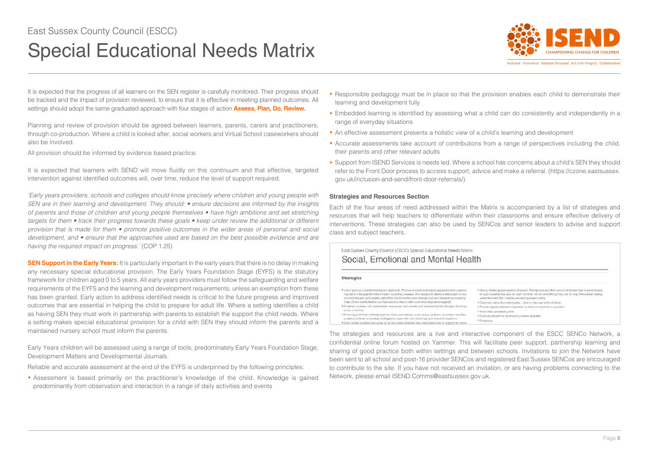# East Sussex County Council (ESCC)

# Special Educational Needs Matrix



Inclusive Innovative Solution Focussed Act with Integrity Collaborative

It is expected that the progress of all learners on the SEN register is carefully monitored. Their progress should be tracked and the impact of provision reviewed, to ensure that it is effective in meeting planned outcomes. All settings should adopt the same graduated approach with four stages of action **Assess, Plan, Do, Review.**

Planning and review of provision should be agreed between learners, parents, carers and practitioners, through co-production. Where a child is looked after, social workers and Virtual School caseworkers should also be involved.

All provision should be informed by evidence based practice.

It is expected that learners with SEND will move fluidly on this continuum and that effective, targeted intervention against identified outcomes will, over time, reduce the level of support required.

*'Early years providers, schools and colleges should know precisely where children and young people with SEN are in their learning and development. They should: • ensure decisions are informed by the insights of parents and those of children and young people themselves • have high ambitions and set stretching targets for them • track their progress towards these goals • keep under review the additional or different provision that is made for them • promote positive outcomes in the wider areas of personal and social development, and • ensure that the approaches used are based on the best possible evidence and are having the required impact on progress.'* (COP 1.25)

**SEN Support in the Early Years:** It is particularly important in the early years that there is no delay in making any necessary special educational provision. The Early Years Foundation Stage (EYFS) is the statutory framework for children aged 0 to 5 years. All early years providers must follow the safeguarding and welfare requirements of the EYFS and the learning and development requirements, unless an exemption from these has been granted. Early action to address identified needs is critical to the future progress and improved outcomes that are essential in helping the child to prepare for adult life. Where a setting identifies a child as having SEN they must work in partnership with parents to establish the support the child needs. Where a setting makes special educational provision for a child with SEN they should inform the parents and a maintained nursery school must inform the parents.

Early Years children will be assessed using a range of tools; predominately Early Years Foundation Stage, Development Matters and Developmental Journals.

Reliable and accurate assessment at the end of the EYFS is underpinned by the following principles:

**•** Assessment is based primarily on the practitioner's knowledge of the child. Knowledge is gained predominantly from observation and interaction in a range of daily activities and events

- Responsible pedagogy must be in place so that the provision enables each child to demonstrate their learning and development fully
- Embedded learning is identified by assessing what a child can do consistently and independently in a range of everyday situations
- An effective assessment presents a holistic view of a child's learning and development
- Accurate assessments take account of contributions from a range of perspectives including the child, their parents and other relevant adults
- Support from ISEND Services is needs led. Where a school has concerns about a child's SEN they should refer to the Front Door process to access support, advice and make a referral. (https://czone.eastsussex. gov.uk/inclusion-and-send/front-door-referrals/)

### **Strategies and Resources Section**

Each of the four areas of need addressed within the Matrix is accompanied by a list of strategies and resources that will help teachers to differentiate within their classrooms and ensure effective delivery of interventions. These strategies can also be used by SENCos and senior leaders to advise and support class and subject teachers.

## East Sussex County Council (ESCC) Special Educational Needs Matrix Social, Emotional and Mental Health

### Strategies

. Use a 'positive unconditional regard' approach. Positive unconditional regard separates what a person has done in the past from the inherent value they possess. This separation allows a safe space for our ineutabl failures, and creates part of the conditions for us to change and work towards succeeding (https://www.dumboleather.com/articles/why-i-teach-with-unconditional-positive-regard/) . Establish routines with predictable sequences and events with preparation for changes that may occur in routine . Encourage children to freely express ideas and feelings, such as joy, sadness, frustration and fear, enabling children to develop strategies to cope with new, challenging or stressful situations

. Give careful explanations given as to why some children may need extra help or support for some

\* Gerriy challenge perceptions of issues. Perceptions are often a result of hidden fear or panic based on past experiences and as such children will do everything they can to stop themselves feeling vulnerable and that includes accepting responsibility . Communt rather than interrogate - think on the part of the children · Provide opportunities for reperation as olose to incidents as possible . Allow witra processing time . Explicitly empethize as empathy breeds empathy · Perseveral

The strategies and resources are a live and interactive component of the ESCC SENCo Network, a confidential online forum hosted on Yammer. This will facilitate peer support, partnership learning and sharing of good practice both within settings and between schools. Invitations to join the Network have been sent to all school and post-16 provider SENCos and registered East Sussex SENCos are encouraged to contribute to the site. If you have not received an invitation, or are having problems connecting to the Network, please email ISEND.Comms@eastsussex.gov.uk.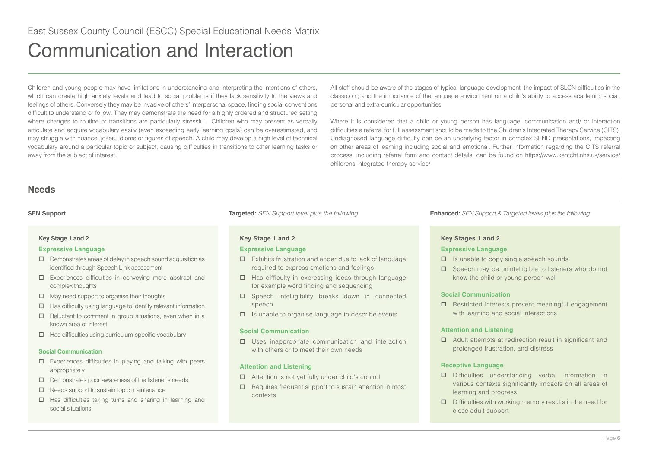<span id="page-5-0"></span>Children and young people may have limitations in understanding and interpreting the intentions of others, which can create high anxiety levels and lead to social problems if they lack sensitivity to the views and feelings of others. Conversely they may be invasive of others' interpersonal space, finding social conventions difficult to understand or follow. They may demonstrate the need for a highly ordered and structured setting where changes to routine or transitions are particularly stressful. Children who may present as verbally articulate and acquire vocabulary easily (even exceeding early learning goals) can be overestimated, and may struggle with nuance, jokes, idioms or figures of speech. A child may develop a high level of technical vocabulary around a particular topic or subject, causing difficulties in transitions to other learning tasks or away from the subject of interest.

All staff should be aware of the stages of typical language development; the impact of SLCN difficulties in the classroom; and the importance of the language environment on a child's ability to access academic, social, personal and extra-curricular opportunities.

Where it is considered that a child or young person has language, communication and/ or interaction difficulties a referral for full assessment should be made to tthe Children's Integrated Therapy Service (CITS). Undiagnosed language difficulty can be an underlying factor in complex SEND presentations, impacting on other areas of learning including social and emotional. Further information regarding the CITS referral process, including referral form and contact details, can be found on https://www.kentcht.nhs.uk/service/ childrens-integrated-therapy-service/

## **Needs**

## **Key Stage 1 and 2**

## **Expressive Language**

- $\Box$  Demonstrates areas of delay in speech sound acquisition as identified through Speech Link assessment
- Experiences difficulties in conveying more abstract and complex thoughts
- $\Box$  May need support to organise their thoughts
- $\Box$  Has difficulty using language to identify relevant information
- $\square$  Reluctant to comment in group situations, even when in a known area of interest
- $\Box$  Has difficulties using curriculum-specific vocabulary

## **Social Communication**

- $\Box$  Experiences difficulties in playing and talking with peers appropriately
- $\square$  Demonstrates poor awareness of the listener's needs
- $\Box$  Needs support to sustain topic maintenance
- $\Box$  Has difficulties taking turns and sharing in learning and social situations

## **Key Stage 1 and 2**

## **Expressive Language**

- Exhibits frustration and anger due to lack of language required to express emotions and feelings
- $\Box$  Has difficulty in expressing ideas through language for example word finding and sequencing
- □ Speech intelligibility breaks down in connected speech
- $\Box$  Is unable to organise language to describe events

## **Social Communication**

 $\square$  Uses inappropriate communication and interaction with others or to meet their own needs

## **Attention and Listening**

- Attention is not yet fully under child's control
- $\Box$  Requires frequent support to sustain attention in most contexts

**SEN Support Targeted:** *SEN Support level plus the following:* **Enhanced:** *SEN Support & Targeted levels plus the following:*

## **Key Stages 1 and 2**

## **Expressive Language**

- $\Box$  Is unable to copy single speech sounds
- $\square$  Speech may be unintelligible to listeners who do not know the child or young person well

## **Social Communication**

 $\Box$  Restricted interests prevent meaningful engagement with learning and social interactions

## **Attention and Listening**

□ Adult attempts at redirection result in significant and prolonged frustration, and distress

## **Receptive Language**

- Difficulties understanding verbal information in various contexts significantly impacts on all areas of learning and progress
- $\Box$  Difficulties with working memory results in the need for close adult support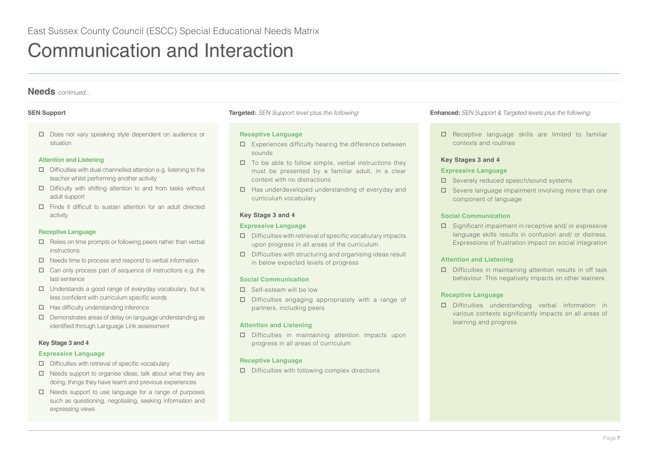D Does not vary speaking style dependent on audience or situation

## **Attention and Listening**

- $\Box$  Difficulties with dual channelled attention e.g. listening to the teacher whilst performing another activity
- □ Difficulty with shifting attention to and from tasks without adult support
- Finds it difficult to sustain attention for an adult directed activity

### **Receptive Language**

- $\Box$  Relies on time prompts or following peers rather than verbal instructions
- $\Box$  Needs time to process and respond to verbal information
- $\Box$  Can only process part of sequence of instructions e.g. the last sentence
- $\Box$  Understands a good range of everyday vocabulary, but is less confident with curriculum specific words
- $\Box$  Has difficulty understanding inference
- $\Box$  Demonstrates areas of delay on language understanding as identified through Language Link assessment

### **Key Stage 3 and 4**

### **Expressive Language**

- $\square$  Difficulties with retrieval of specific vocabulary
- $\Box$  Needs support to organise ideas, talk about what they are doing, things they have learnt and previous experiences
- $\Box$  Needs support to use language for a range of purposes such as questioning, negotiating, seeking information and expressing views

### **Receptive Language**

- $\square$  Experiences difficulty hearing the difference between sounds
- $\Box$  To be able to follow simple, verbal instructions they must be presented by a familiar adult, in a clear context with no distractions
- $\Box$  Has underdeveloped understanding of everyday and curriculum vocabulary

### **Key Stage 3 and 4**

### **Expressive Language**

- $\square$  Difficulties with retrieval of specific vocabulary impacts upon progress in all areas of the curriculum
- $\square$  Difficulties with structuring and organising ideas result in below expected levels of progress

### **Social Communication**

- □ Self-esteem will be low
- $\square$  Difficulties engaging appropriately with a range of partners, including peers

### **Attention and Listening**

 Difficulties in maintaining attention impacts upon progress in all areas of curriculum

## **Receptive Language**

 $\square$  Difficulties with following complex directions

**SEN Support Targeted:** *SEN Support level plus the following:* **Enhanced:** *SEN Support & Targeted levels plus the following:*

 $\square$  Receptive language skills are limited to familiar contexts and routines

## **Key Stages 3 and 4**

### **Expressive Language**

- □ Severely reduced speech/sound systems
- $\square$  Severe language impairment involving more than one component of language

## **Social Communication**

 $\square$  Significant impairment in receptive and/ or expressive language skills results in confusion and/ or distress. Expressions of frustration impact on social integration

### **Attention and Listening**

 $\square$  Difficulties in maintaining attention results in off task behaviour. This negatively impacts on other learners

## **Receptive Language**

 Difficulties understanding verbal information in various contexts significantly impacts on all areas of learning and progress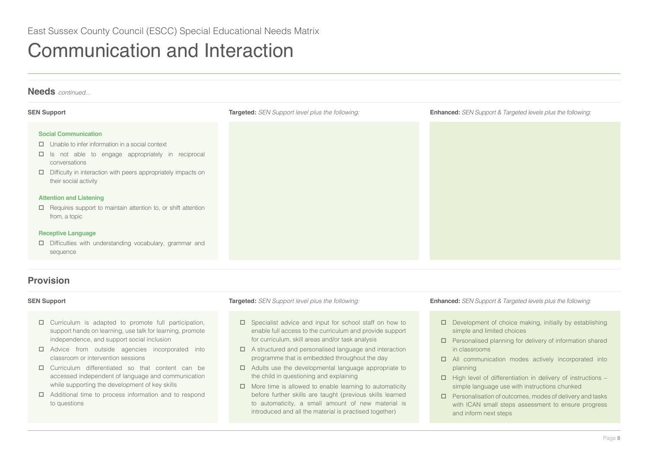# **Social Communication** Unable to infer information in a social context  $\Box$  Is not able to engage appropriately in reciprocal conversations  $\Box$  Difficulty in interaction with peers appropriately impacts on their social activity **Attention and Listening**  $\Box$  Requires support to maintain attention to, or shift attention from, a topic **Receptive Language** Difficulties with understanding vocabulary, grammar and sequence **Needs** *continued...* **SEN Support Targeted:** *SEN Support level plus the following:* **Enhanced:** *SEN Support & Targeted levels plus the following:*

# **Provision**

- $\Box$  Curriculum is adapted to promote full participation, support hands on learning, use talk for learning, promote independence, and support social inclusion
- Advice from outside agencies incorporated into classroom or intervention sessions
- Curriculum differentiated so that content can be accessed independent of language and communication while supporting the development of key skills
- □ Additional time to process information and to respond to questions

- $\square$  Specialist advice and input for school staff on how to enable full access to the curriculum and provide support for curriculum, skill areas and/or task analysis
- $\Box$  A structured and personalised language and interaction programme that is embedded throughout the day
- $\Box$  Adults use the developmental language appropriate to the child in questioning and explaining
- $\Box$  More time is allowed to enable learning to automaticity before further skills are taught (previous skills learned to automaticity, a small amount of new material is introduced and all the material is practised together)

- $\square$  Development of choice making, initially by establishing simple and limited choices
- $\square$  Personalised planning for delivery of information shared in classrooms
- All communication modes actively incorporated into planning
- $\Box$  High level of differentiation in delivery of instructions simple language use with instructions chunked
- $\square$  Personalisation of outcomes, modes of delivery and tasks with ICAN small steps assessment to ensure progress and inform next steps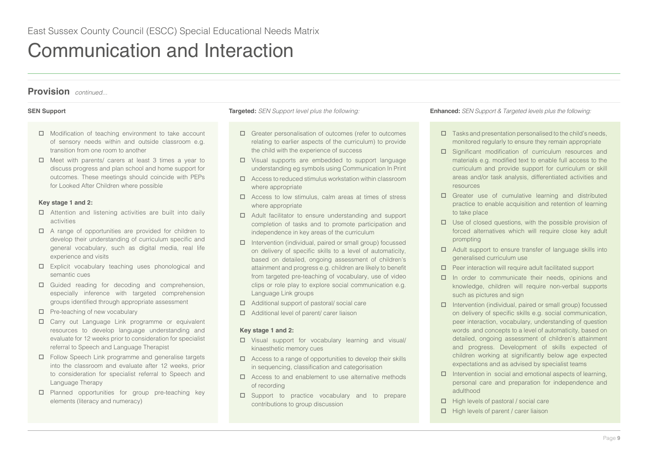# **Provision** *continued...*

- $\Box$  Modification of teaching environment to take account of sensory needs within and outside classroom e.g. transition from one room to another
- $\Box$  Meet with parents/ carers at least 3 times a year to discuss progress and plan school and home support for outcomes. These meetings should coincide with PEPs for Looked After Children where possible

## **Key stage 1 and 2:**

- □ Attention and listening activities are built into daily activities
- $\Box$  A range of opportunities are provided for children to develop their understanding of curriculum specific and general vocabulary, such as digital media, real life experience and visits
- Explicit vocabulary teaching uses phonological and semantic cues
- Guided reading for decoding and comprehension, especially inference with targeted comprehension groups identified through appropriate assessment
- $\Box$  Pre-teaching of new vocabulary
- Carry out Language Link programme or equivalent resources to develop language understanding and evaluate for 12 weeks prior to consideration for specialist referral to Speech and Language Therapist
- Follow Speech Link programme and generalise targets into the classroom and evaluate after 12 weeks, prior to consideration for specialist referral to Speech and Language Therapy
- $\square$  Planned opportunities for group pre-teaching key elements (literacy and numeracy)

- □ Greater personalisation of outcomes (refer to outcomes relating to earlier aspects of the curriculum) to provide the child with the experience of success
- Visual supports are embedded to support language understanding eg symbols using Communication In Print
- Access to reduced stimulus workstation within classroom where appropriate
- Access to low stimulus, calm areas at times of stress where appropriate
- Adult facilitator to ensure understanding and support completion of tasks and to promote participation and independence in key areas of the curriculum
- $\Box$  Intervention (individual, paired or small group) focussed on delivery of specific skills to a level of automaticity, based on detailed, ongoing assessment of children's attainment and progress e.g. children are likely to benefit from targeted pre-teaching of vocabulary, use of video clips or role play to explore social communication e.g. Language Link groups
- Additional support of pastoral/ social care
- Additional level of parent/ carer liaison

## **Key stage 1 and 2:**

- Visual support for vocabulary learning and visual/ kinaesthetic memory cues
- $\Box$  Access to a range of opportunities to develop their skills in sequencing, classification and categorisation
- $\Box$  Access to and enablement to use alternative methods of recording
- □ Support to practice vocabulary and to prepare contributions to group discussion

- $\square$  Tasks and presentation personalised to the child's needs, monitored regularly to ensure they remain appropriate
- □ Significant modification of curriculum resources and materials e.g. modified text to enable full access to the curriculum and provide support for curriculum or skill areas and/or task analysis, differentiated activities and resources
- Greater use of cumulative learning and distributed practice to enable acquisition and retention of learning to take place
- $\Box$  Use of closed questions, with the possible provision of forced alternatives which will require close key adult prompting
- $\Box$  Adult support to ensure transfer of language skills into generalised curriculum use
- $\Box$  Peer interaction will require adult facilitated support
- $\Box$  In order to communicate their needs, opinions and knowledge, children will require non-verbal supports such as pictures and sign
- $\Box$  Intervention (individual, paired or small group) focussed on delivery of specific skills e.g. social communication, peer interaction, vocabulary, understanding of question words and concepts to a level of automaticity, based on detailed, ongoing assessment of children's attainment and progress. Development of skills expected of children working at significantly below age expected expectations and as advised by specialist teams
- $\Box$  Intervention in social and emotional aspects of learning, personal care and preparation for independence and adulthood
- $\Box$  High levels of pastoral / social care
- $\Box$  High levels of parent / carer liaison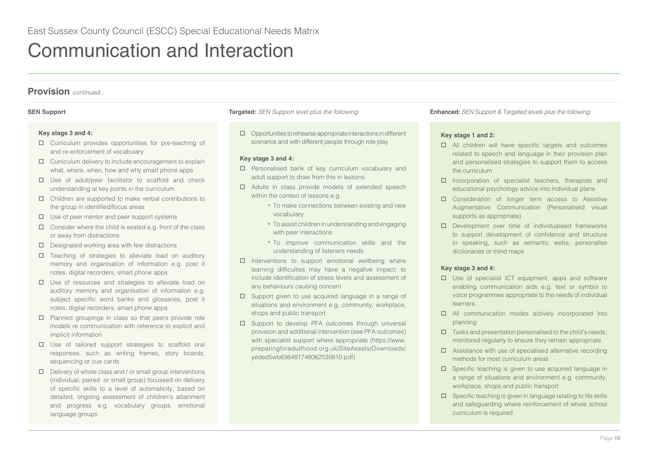## **Key stage 3 and 4:**

- Curriculum provides opportunities for pre-teaching of and re-enforcement of vocabulary
- $\Box$  Curriculum delivery to include encouragement to explain what, where, when, how and why smart phone apps
- $\square$  Use of adult/peer facilitator to scaffold and check understanding at key points in the curriculum
- Children are supported to make verbal contributions to the group in identified/focus areas
- $\Box$  Use of peer mentor and peer support systems
- $\Box$  Consider where the child is seated e.g. front of the class or away from distractions
- $\square$  Designated working area with few distractions
- $\square$  Teaching of strategies to alleviate load on auditory memory and organisation of information e.g. post it notes, digital recorders, smart phone apps
- $\Box$  Use of resources and strategies to alleviate load on auditory memory and organisation of information e.g. subject specific word banks and glossaries, post it notes, digital recorders, smart phone apps
- $\Box$  Planned groupings in class so that peers provide role models re communication with reference to explicit and implicit information
- $\square$  Use of tailored support strategies to scaffold oral responses, such as writing frames, story boards, sequencing or cue cards
- $\Box$  Delivery of whole class and / or small group interventions (individual, paired or small group) focussed on delivery of specific skills to a level of automaticity, based on detailed, ongoing assessment of children's attainment and progress e.g. vocabulary groups, emotional language groups

 $\Box$  Opportunities to rehearse appropriate interactions in different scenarios and with different people through role play

## **Key stage 3 and 4:**

- □ Personalised bank of key curriculum vocabulary and adult support to draw from this in lessons
- $\Box$  Adults in class provide models of extended speech within the context of lessons e.g.
	- To make connections between existing and new vocabulary
	- To assist children in understanding and engaging with peer interactions
	- To improve communication skills and the understanding of listeners needs
- $\Box$  Interventions to support emotional wellbeing where learning difficulties may have a negative impact: to include identification of stress levels and assessment of any behaviours causing concern
- □ Support given to use acquired language in a range of situations and environment e.g. community, workplace, shops and public transport
- □ Support to develop PFA outcomes through universal provision and additional intervention (see PFA outcomes) with specialist support where appropriate (https://www. preparingforadulthood.org.uk/SiteAssets/Downloads/ yeded5wb636481748062535810.pdf)

**SEN Support Targeted:** *SEN Support level plus the following:* **Enhanced:** *SEN Support & Targeted levels plus the following:*

## **Key stage 1 and 2:**

- □ All children will have specific targets and outcomes related to speech and language in their provision plan and personalised strategies to support them to access the curriculum
- $\square$  Incorporation of specialist teachers, therapists and educational psychology advice into individual plans
- □ Consideration of longer term access to Assistive Augmentative Communication (Personalised visual supports as appropriate)
- D Development over time of individualised frameworks to support development of confidence and structure in speaking, such as semantic webs, personalise dictionaries or mind maps

## **Key stage 3 and 4:**

- $\Box$  Use of specialist ICT equipment, apps and software enabling communication aids e.g. text or symbol to voice programmes appropriate to the needs of individual learners
- All communication modes actively incorporated into planning
- $\Box$  Tasks and presentation personalised to the child's needs, monitored regularly to ensure they remain appropriate
- $\Box$  Assistance with use of specialised alternative recording methods for most curriculum areas
- $\square$  Specific teaching is given to use acquired language in a range of situations and environment e.g. community, workplace, shops and public transport
- $\square$  Specific teaching is given in language relating to life skills and safeguarding where reinforcement of whole school curriculum is required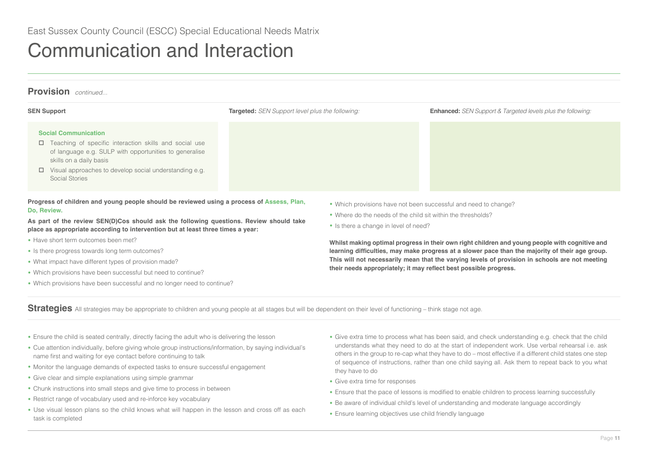# **Provision** *continued...*

| <b>SEN Support</b>                                                                                                                                                                                                                                                   | <b>Targeted:</b> SEN Support level plus the following: | <b>Enhanced:</b> SEN Support & Targeted levels plus the following: |
|----------------------------------------------------------------------------------------------------------------------------------------------------------------------------------------------------------------------------------------------------------------------|--------------------------------------------------------|--------------------------------------------------------------------|
| <b>Social Communication</b><br>$\Box$ Teaching of specific interaction skills and social use<br>of language e.g. SULP with opportunities to generalise<br>skills on a daily basis<br>$\Box$ Visual approaches to develop social understanding e.g.<br>Social Stories |                                                        |                                                                    |
|                                                                                                                                                                                                                                                                      | .                                                      |                                                                    |

**Progress of children and young people should be reviewed using a process of Assess, Plan, Do, Review.**

**As part of the review SEN(D)Cos should ask the following questions. Review should take place as appropriate according to intervention but at least three times a year:**

- Have short term outcomes been met?
- Is there progress towards long term outcomes?
- What impact have different types of provision made?
- Which provisions have been successful but need to continue?
- Which provisions have been successful and no longer need to continue?
- Which provisions have not been successful and need to change?
- Where do the needs of the child sit within the thresholds?
- Is there a change in level of need?

**Whilst making optimal progress in their own right children and young people with cognitive and learning difficulties, may make progress at a slower pace than the majority of their age group. This will not necessarily mean that the varying levels of provision in schools are not meeting their needs appropriately; it may reflect best possible progress.**

Strategies All strategies may be appropriate to children and young people at all stages but will be dependent on their level of functioning – think stage not age.

- Ensure the child is seated centrally, directly facing the adult who is delivering the lesson
- Cue attention individually, before giving whole group instructions/information, by saying individual's name first and waiting for eye contact before continuing to talk
- Monitor the language demands of expected tasks to ensure successful engagement
- Give clear and simple explanations using simple grammar
- Chunk instructions into small steps and give time to process in between
- Restrict range of vocabulary used and re-inforce key vocabulary
- Use visual lesson plans so the child knows what will happen in the lesson and cross off as each task is completed
- Give extra time to process what has been said, and check understanding e.g. check that the child understands what they need to do at the start of independent work. Use verbal rehearsal i.e. ask others in the group to re-cap what they have to do – most effective if a different child states one step of sequence of instructions, rather than one child saying all. Ask them to repeat back to you what they have to do
- Give extra time for responses
- Ensure that the pace of lessons is modified to enable children to process learning successfully
- Be aware of individual child's level of understanding and moderate language accordingly
- Ensure learning objectives use child friendly language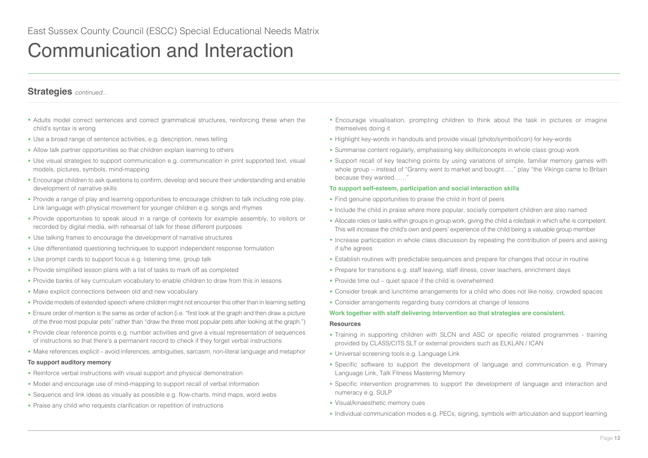# **Strategies** *continued...*

- Adults model correct sentences and correct grammatical structures, reinforcing these when the child's syntax is wrong
- Use a broad range of sentence activities, e.g. description, news telling
- Allow talk partner opportunities so that children explain learning to others
- Use visual strategies to support communication e.g. communication in print supported text, visual models, pictures, symbols, mind-mapping
- Encourage children to ask questions to confirm, develop and secure their understanding and enable development of narrative skills
- Provide a range of play and learning opportunities to encourage children to talk including role play. Link language with physical movement for younger children e.g. songs and rhymes
- Provide opportunities to speak aloud in a range of contexts for example assembly, to visitors or recorded by digital media, with rehearsal of talk for these different purposes
- Use talking frames to encourage the development of narrative structures
- Use differentiated questioning techniques to support independent response formulation
- Use prompt cards to support focus e.g. listening time, group talk
- Provide simplified lesson plans with a list of tasks to mark off as completed
- Provide banks of key curriculum vocabulary to enable children to draw from this in lessons
- Make explicit connections between old and new vocabulary
- Provide models of extended speech where children might not encounter this other than in learning setting
- Ensure order of mention is the same as order of action (i.e. "first look at the graph and then draw a picture of the three most popular pets" rather than "draw the three most popular pets after looking at the graph.")
- Provide clear reference points e.g. number activities and give a visual representation of sequences of instructions so that there's a permanent record to check if they forget verbal instructions
- Make references explicit avoid inferences, ambiguities, sarcasm, non-literal language and metaphor

## **To support auditory memory**

- Reinforce verbal instructions with visual support and physical demonstration
- Model and encourage use of mind-mapping to support recall of verbal information
- Sequence and link ideas as visually as possible e.g. flow-charts, mind maps, word webs
- Praise any child who requests clarification or repetition of instructions
- Encourage visualisation, prompting children to think about the task in pictures or imagine themselves doing it
- Highlight key-words in handouts and provide visual (photo/symbol/icon) for key-words
- Summarise content regularly, emphasising key skills/concepts in whole class group work
- Support recall of key teaching points by using variations of simple, familiar memory games with whole group – instead of "Granny went to market and bought....." play "the Vikings came to Britain because they wanted……"

### **To support self-esteem, participation and social interaction skills**

- Find genuine opportunities to praise the child in front of peers
- Include the child in praise where more popular, socially competent children are also named
- Allocate roles or tasks within groups in group work, giving the child a role/task in which s/he is competent. This will increase the child's own and peers' experience of the child being a valuable group member
- Increase participation in whole class discussion by repeating the contribution of peers and asking if s/he agrees
- Establish routines with predictable sequences and prepare for changes that occur in routine
- Prepare for transitions e.g. staff leaving, staff illness, cover teachers, enrichment days
- Provide time out quiet space if the child is overwhelmed
- Consider break and lunchtime arrangements for a child who does not like noisy, crowded spaces
- Consider arrangements regarding busy corridors at change of lessons

### **Work together with staff delivering intervention so that strategies are consistent.**

### **Resources**

- Training in supporting children with SLCN and ASC or specific related programmes training provided by CLASS/CITS SLT or external providers such as ELKLAN / ICAN
- Universal screening tools e.g. Language Link
- Specific software to support the development of language and communication e.g. Primary Language Link, Talk Fitness Mastering Memory
- Specific intervention programmes to support the development of language and interaction and numeracy e.g. SULP
- Visual/kinaesthetic memory cues
- Individual communication modes e.g. PECs, signing, symbols with articulation and support learning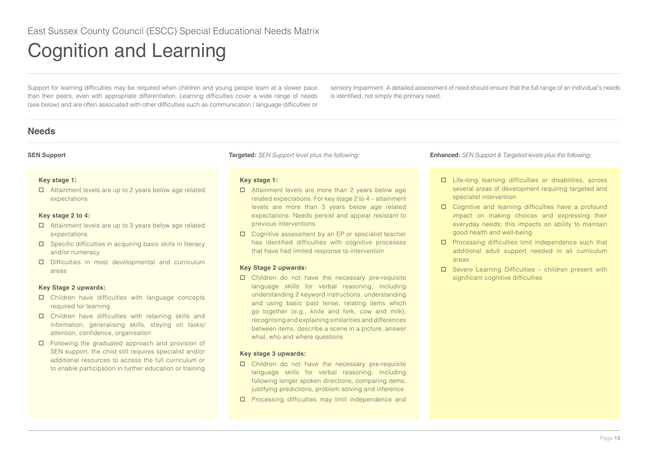<span id="page-12-0"></span>Support for learning difficulties may be required when children and young people learn at a slower pace than their peers, even with appropriate differentiation. Learning difficulties cover a wide range of needs (see below) and are often associated with other difficulties such as communication / language difficulties or sensory impairment. A detailed assessment of need should ensure that the full range of an individual's needs is identified, not simply the primary need.

# **Needs**

## **Key stage 1:**

 Attainment levels are up to 2 years below age related expectations

## **Key stage 2 to 4:**

- Attainment levels are up to 3 years below age related expectations
- $\square$  Specific difficulties in acquiring basic skills in literacy and/or numeracy
- D Difficulties in most developmental and curriculum areas

## **Key Stage 2 upwards:**

- Children have difficulties with language concepts required for learning
- Children have difficulties with retaining skills and information, generalising skills, staying on tasks/ attention, confidence, organisation
- □ Following the graduated approach and provision of SEN support, the child still requires specialist and/or additional resources to access the full curriculum or to enable participation in further education or training

## **Key stage 1:**

- □ Attainment levels are more than 2 years below age related expectations. For key stage 2 to 4 – attainment levels are more than 3 years below age related expectations. Needs persist and appear resistant to previous interventions
- $\Box$  Cognitive assessment by an EP or specialist teacher has identified difficulties with cognitive processes that have had limited response to intervention

## **Key Stage 2 upwards:**

 Children do not have the necessary pre-requisite language skills for verbal reasoning, including understanding 2 keyword instructions, understanding and using basic past tense, relating items which go together (e.g., knife and fork, cow and milk), recognising and explaining similarities and differences between items, describe a scene in a picture, answer what, who and where questions

## **Key stage 3 upwards:**

- $\square$  Children do not have the necessary pre-requisite language skills for verbal reasoning, including following longer spoken directions, comparing items, justifying predictions, problem solving and inference
- $\square$  Processing difficulties may limit independence and

- Life-long learning difficulties or disabilities, across several areas of development requiring targeted and specialist intervention
- □ Cognitive and learning difficulties have a profound impact on making choices and expressing their everyday needs; this impacts on ability to maintain good health and well-being
- $\square$  Processing difficulties limit independence such that additional adult support needed in all curriculum areas
- $\square$  Severe Learning Difficulties children present with significant cognitive difficulties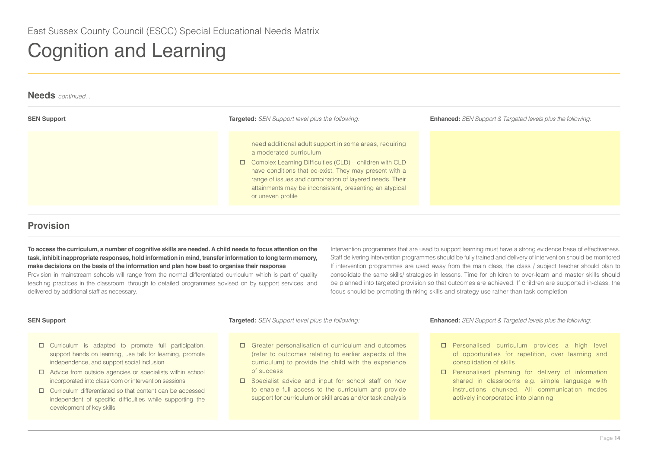| <b>Needs</b> continued |                                                                                                                                                                                                                                                                                                                                                         |                                                                    |
|------------------------|---------------------------------------------------------------------------------------------------------------------------------------------------------------------------------------------------------------------------------------------------------------------------------------------------------------------------------------------------------|--------------------------------------------------------------------|
| <b>SEN Support</b>     | <b>Targeted:</b> SEN Support level plus the following:                                                                                                                                                                                                                                                                                                  | <b>Enhanced:</b> SEN Support & Targeted levels plus the following: |
|                        | need additional adult support in some areas, requiring<br>a moderated curriculum<br>$\Box$ Complex Learning Difficulties (CLD) – children with CLD<br>have conditions that co-exist. They may present with a<br>range of issues and combination of layered needs. Their<br>attainments may be inconsistent, presenting an atypical<br>or uneven profile |                                                                    |

# **Provision**

**To access the curriculum, a number of cognitive skills are needed. A child needs to focus attention on the task, inhibit inappropriate responses, hold information in mind, transfer information to long term memory, make decisions on the basis of the information and plan how best to organise their response**

Provision in mainstream schools will range from the normal differentiated curriculum which is part of quality teaching practices in the classroom, through to detailed programmes advised on by support services, and delivered by additional staff as necessary.

Intervention programmes that are used to support learning must have a strong evidence base of effectiveness. Staff delivering intervention programmes should be fully trained and delivery of intervention should be monitored If intervention programmes are used away from the main class, the class / subject teacher should plan to consolidate the same skills/ strategies in lessons. Time for children to over-learn and master skills should be planned into targeted provision so that outcomes are achieved. If children are supported in-class, the focus should be promoting thinking skills and strategy use rather than task completion

- $\Box$  Curriculum is adapted to promote full participation, support hands on learning, use talk for learning, promote independence, and support social inclusion
- Advice from outside agencies or specialists within school incorporated into classroom or intervention sessions
- $\Box$  Curriculum differentiated so that content can be accessed independent of specific difficulties while supporting the development of key skills

- □ Greater personalisation of curriculum and outcomes (refer to outcomes relating to earlier aspects of the curriculum) to provide the child with the experience of success
- □ Specialist advice and input for school staff on how to enable full access to the curriculum and provide support for curriculum or skill areas and/or task analysis

- □ Personalised curriculum provides a high level of opportunities for repetition, over learning and consolidation of skills
- **D** Personalised planning for delivery of information shared in classrooms e.g. simple language with instructions chunked. All communication modes actively incorporated into planning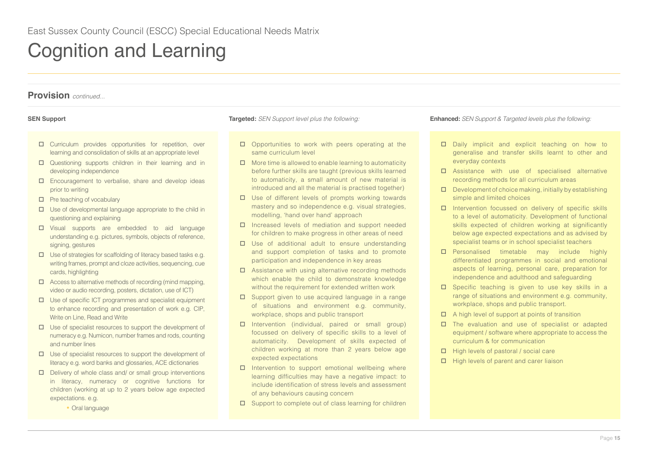- Curriculum provides opportunities for repetition, over learning and consolidation of skills at an appropriate level
- Questioning supports children in their learning and in developing independence
- Encouragement to verbalise, share and develop ideas prior to writing
- $\Box$  Pre teaching of vocabulary
- $\Box$  Use of developmental language appropriate to the child in questioning and explaining
- Visual supports are embedded to aid language understanding e.g. pictures, symbols, objects of reference, signing, gestures
- $\Box$  Use of strategies for scaffolding of literacy based tasks e.g. writing frames, prompt and cloze activities, sequencing, cue cards, highlighting
- $\Box$  Access to alternative methods of recording (mind mapping, video or audio recording, posters, dictation, use of ICT)
- $\Box$  Use of specific ICT programmes and specialist equipment to enhance recording and presentation of work e.g. CIP, Write on Line, Read and Write
- $\Box$  Use of specialist resources to support the development of numeracy e.g. Numicon, number frames and rods, counting and number lines
- $\square$  Use of specialist resources to support the development of literacy e.g. word banks and glossaries, ACE dictionaries
- $\square$  Delivery of whole class and/ or small group interventions in literacy, numeracy or cognitive functions for children (working at up to 2 years below age expected expectations. e.g.
	- Oral language

- $\square$  Opportunities to work with peers operating at the same curriculum level
- $\Box$  More time is allowed to enable learning to automaticity before further skills are taught (previous skills learned to automaticity, a small amount of new material is introduced and all the material is practised together)
- $\Box$  Use of different levels of prompts working towards mastery and so independence e.g. visual strategies, modelling, 'hand over hand' approach
- Increased levels of mediation and support needed for children to make progress in other areas of need
- $\square$  Use of additional adult to ensure understanding and support completion of tasks and to promote participation and independence in key areas
- $\square$  Assistance with using alternative recording methods which enable the child to demonstrate knowledge without the requirement for extended written work
- $\square$  Support given to use acquired language in a range of situations and environment e.g. community, workplace, shops and public transport
- Intervention (individual, paired or small group) focussed on delivery of specific skills to a level of automaticity. Development of skills expected of children working at more than 2 years below age expected expectations
- $\square$  Intervention to support emotional wellbeing where learning difficulties may have a negative impact: to include identification of stress levels and assessment of any behaviours causing concern
- $\square$  Support to complete out of class learning for children

- $\Box$  Daily implicit and explicit teaching on how to generalise and transfer skills learnt to other and everyday contexts
- Assistance with use of specialised alternative recording methods for all curriculum areas
- $\square$  Development of choice making, initially by establishing simple and limited choices
- $\Box$  Intervention focussed on delivery of specific skills to a level of automaticity. Development of functional skills expected of children working at significantly below age expected expectations and as advised by specialist teams or in school specialist teachers
- **D** Personalised timetable may include highly differentiated programmes in social and emotional aspects of learning, personal care, preparation for independence and adulthood and safeguarding
- $\square$  Specific teaching is given to use key skills in a range of situations and environment e.g. community, workplace, shops and public transport.
- $\Box$  A high level of support at points of transition
- $\square$  The evaluation and use of specialist or adapted equipment / software where appropriate to access the curriculum & for communication
- $\Box$  High levels of pastoral / social care
- $\Box$  High levels of parent and carer liaison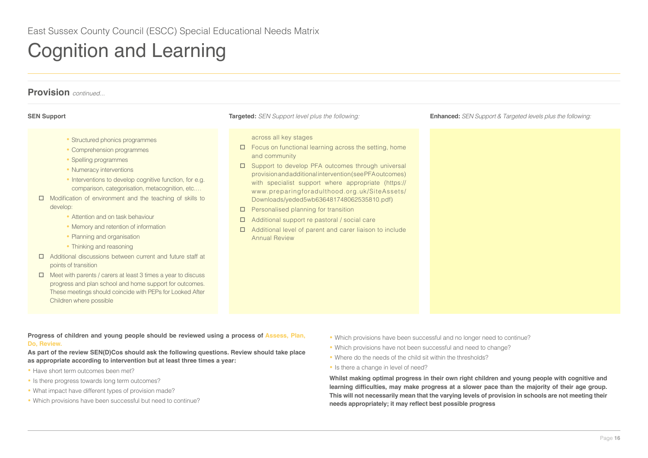| <b>Provision</b> continued                                                                                                                                                                                                                                                                                                                                                                                                                                                                                                                                                                                                                                                                                                                                            |                                                                                                                                                                                                                                                                                                                                                                                                                                                                                                                                                                |                                                                    |  |  |
|-----------------------------------------------------------------------------------------------------------------------------------------------------------------------------------------------------------------------------------------------------------------------------------------------------------------------------------------------------------------------------------------------------------------------------------------------------------------------------------------------------------------------------------------------------------------------------------------------------------------------------------------------------------------------------------------------------------------------------------------------------------------------|----------------------------------------------------------------------------------------------------------------------------------------------------------------------------------------------------------------------------------------------------------------------------------------------------------------------------------------------------------------------------------------------------------------------------------------------------------------------------------------------------------------------------------------------------------------|--------------------------------------------------------------------|--|--|
| <b>SEN Support</b>                                                                                                                                                                                                                                                                                                                                                                                                                                                                                                                                                                                                                                                                                                                                                    | <b>Targeted:</b> SEN Support level plus the following:                                                                                                                                                                                                                                                                                                                                                                                                                                                                                                         | <b>Enhanced:</b> SEN Support & Targeted levels plus the following: |  |  |
| • Structured phonics programmes<br>• Comprehension programmes<br>• Spelling programmes<br>• Numeracy interventions<br>• Interventions to develop cognitive function, for e.g.<br>comparison, categorisation, metacognition, etc<br>Modification of environment and the teaching of skills to<br>develop:<br>• Attention and on task behaviour<br>• Memory and retention of information<br>• Planning and organisation<br>• Thinking and reasoning<br>Additional discussions between current and future staff at<br>□<br>points of transition<br>Meet with parents / carers at least 3 times a year to discuss<br>□<br>progress and plan school and home support for outcomes.<br>These meetings should coincide with PEPs for Looked After<br>Children where possible | across all key stages<br>Focus on functional learning across the setting, home<br>$\Box$<br>and community<br>Support to develop PFA outcomes through universal<br>provision and additional intervention (see PFA outcomes)<br>with specialist support where appropriate (https://<br>www.preparingforadulthood.org.uk/SiteAssets/<br>Downloads/yeded5wb636481748062535810.pdf)<br>Personalised planning for transition<br>□<br>Additional support re pastoral / social care<br>Additional level of parent and carer liaison to include<br><b>Annual Review</b> |                                                                    |  |  |

## **Progress of children and young people should be reviewed using a process of Assess, Plan, Do, Review.**

**As part of the review SEN(D)Cos should ask the following questions. Review should take place as appropriate according to intervention but at least three times a year:** 

- Have short term outcomes been met?
- Is there progress towards long term outcomes?
- What impact have different types of provision made?
- Which provisions have been successful but need to continue?
- Which provisions have been successful and no longer need to continue?
- Which provisions have not been successful and need to change?
- Where do the needs of the child sit within the thresholds?
- Is there a change in level of need?

**Whilst making optimal progress in their own right children and young people with cognitive and learning difficulties, may make progress at a slower pace than the majority of their age group. This will not necessarily mean that the varying levels of provision in schools are not meeting their needs appropriately; it may reflect best possible progress**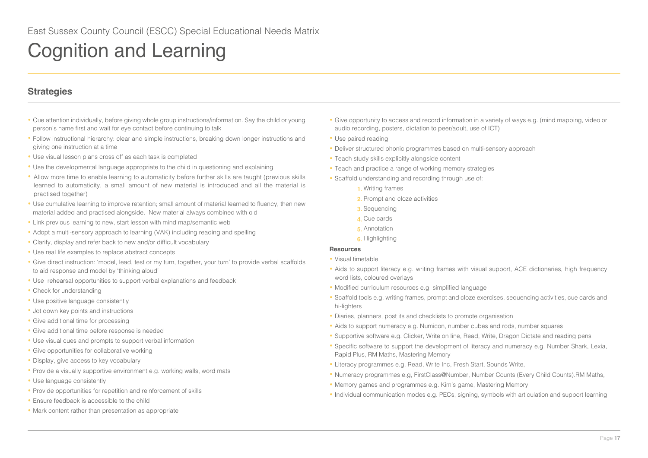# **Strategies**

- Cue attention individually, before giving whole group instructions/information. Say the child or young person's name first and wait for eye contact before continuing to talk
- Follow instructional hierarchy: clear and simple instructions, breaking down longer instructions and giving one instruction at a time
- Use visual lesson plans cross off as each task is completed
- Use the developmental language appropriate to the child in questioning and explaining
- Allow more time to enable learning to automaticity before further skills are taught (previous skills learned to automaticity, a small amount of new material is introduced and all the material is practised together)
- Use cumulative learning to improve retention; small amount of material learned to fluency, then new material added and practised alongside. New material always combined with old
- Link previous learning to new, start lesson with mind map/semantic web
- Adopt a multi-sensory approach to learning (VAK) including reading and spelling
- Clarify, display and refer back to new and/or difficult vocabulary
- Use real life examples to replace abstract concepts
- Give direct instruction: 'model, lead, test or my turn, together, your turn' to provide verbal scaffolds to aid response and model by 'thinking aloud'
- Use rehearsal opportunities to support verbal explanations and feedback
- Check for understanding
- Use positive language consistently
- Jot down key points and instructions
- Give additional time for processing
- Give additional time before response is needed
- Use visual cues and prompts to support verbal information
- Give opportunities for collaborative working
- Display, give access to key vocabulary
- Provide a visually supportive environment e.g. working walls, word mats
- Use language consistently
- Provide opportunities for repetition and reinforcement of skills
- Ensure feedback is accessible to the child
- Mark content rather than presentation as appropriate
- Give opportunity to access and record information in a variety of ways e.g. (mind mapping, video or audio recording, posters, dictation to peer/adult, use of ICT)
- Use paired reading
- Deliver structured phonic programmes based on multi-sensory approach
- Teach study skills explicitly alongside content
- Teach and practice a range of working memory strategies
- Scaffold understanding and recording through use of:
	- **1.** Writing frames
	- **2.** Prompt and cloze activities
	- **3.** Sequencing
	- **4.** Cue cards
	- **5.** Annotation
	- **6.** Highlighting

## **Resources**

- Visual timetable
- Aids to support literacy e.g. writing frames with visual support, ACE dictionaries, high frequency word lists, coloured overlays
- Modified curriculum resources e.g. simplified language
- Scaffold tools e.g. writing frames, prompt and cloze exercises, sequencing activities, cue cards and hi-lighters
- Diaries, planners, post its and checklists to promote organisation
- Aids to support numeracy e.g. Numicon, number cubes and rods, number squares
- Supportive software e.g. Clicker, Write on line, Read, Write, Dragon Dictate and reading pens
- Specific software to support the development of literacy and numeracy e.g. Number Shark, Lexia, Rapid Plus, RM Maths, Mastering Memory
- Literacy programmes e.g. Read, Write Inc, Fresh Start, Sounds Write,
- Numeracy programmes e.g, FirstClass@Number, Number Counts (Every Child Counts).RM Maths,
- Memory games and programmes e.g. Kim's game, Mastering Memory
- Individual communication modes e.g. PECs, signing, symbols with articulation and support learning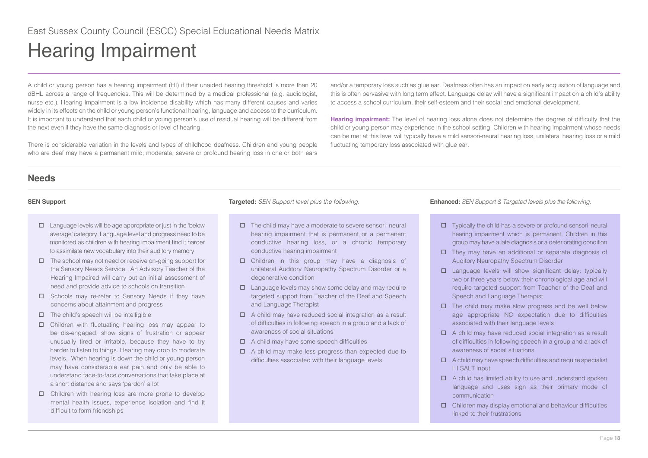<span id="page-17-0"></span>A child or young person has a hearing impairment (HI) if their unaided hearing threshold is more than 20 dBHL across a range of frequencies. This will be determined by a medical professional (e.g. audiologist, nurse etc.). Hearing impairment is a low incidence disability which has many different causes and varies widely in its effects on the child or young person's functional hearing, language and access to the curriculum. It is important to understand that each child or young person's use of residual hearing will be different from the next even if they have the same diagnosis or level of hearing.

There is considerable variation in the levels and types of childhood deafness. Children and young people who are deaf may have a permanent mild, moderate, severe or profound hearing loss in one or both ears

and/or a temporary loss such as glue ear. Deafness often has an impact on early acquisition of language and this is often pervasive with long term effect. Language delay will have a significant impact on a child's ability to access a school curriculum, their self-esteem and their social and emotional development.

**Hearing impairment:** The level of hearing loss alone does not determine the degree of difficulty that the child or young person may experience in the school setting. Children with hearing impairment whose needs can be met at this level will typically have a mild sensori-neural hearing loss, unilateral hearing loss or a mild fluctuating temporary loss associated with glue ear.

# **Needs**

- $\square$  Language levels will be age appropriate or just in the 'below average' category. Language level and progress need to be monitored as children with hearing impairment find it harder to assimilate new vocabulary into their auditory memory
- $\Box$  The school may not need or receive on-going support for the Sensory Needs Service. An Advisory Teacher of the Hearing Impaired will carry out an initial assessment of need and provide advice to schools on transition
- $\square$  Schools may re-refer to Sensory Needs if they have concerns about attainment and progress
- $\Box$  The child's speech will be intelligible
- $\Box$  Children with fluctuating hearing loss may appear to be dis-engaged, show signs of frustration or appear unusually tired or irritable, because they have to try harder to listen to things. Hearing may drop to moderate levels. When hearing is down the child or young person may have considerable ear pain and only be able to understand face-to-face conversations that take place at a short distance and says 'pardon' a lot
- $\Box$  Children with hearing loss are more prone to develop mental health issues, experience isolation and find it difficult to form friendships

- $\Box$  The child may have a moderate to severe sensori–neural hearing impairment that is permanent or a permanent conductive hearing loss, or a chronic temporary conductive hearing impairment
- Children in this group may have a diagnosis of unilateral Auditory Neuropathy Spectrum Disorder or a degenerative condition
- $\Box$  Language levels may show some delay and may require targeted support from Teacher of the Deaf and Speech and Language Therapist
- $\Box$  A child may have reduced social integration as a result of difficulties in following speech in a group and a lack of awareness of social situations
- $\Box$  A child may have some speech difficulties
- $\Box$  A child may make less progress than expected due to difficulties associated with their language levels

- Typically the child has a severe or profound sensori–neural hearing impairment which is permanent. Children in this group may have a late diagnosis or a deteriorating condition
- $\Box$  They may have an additional or separate diagnosis of Auditory Neuropathy Spectrum Disorder
- $\square$  Language levels will show significant delay: typically two or three years below their chronological age and will require targeted support from Teacher of the Deaf and Speech and Language Therapist
- $\Box$  The child may make slow progress and be well below age appropriate NC expectation due to difficulties associated with their language levels
- $\Box$  A child may have reduced social integration as a result of difficulties in following speech in a group and a lack of awareness of social situations
- $\Box$  A child may have speech difficulties and require specialist HI SALT input
- $\Box$  A child has limited ability to use and understand spoken language and uses sign as their primary mode of communication
- $\Box$  Children may display emotional and behaviour difficulties linked to their frustrations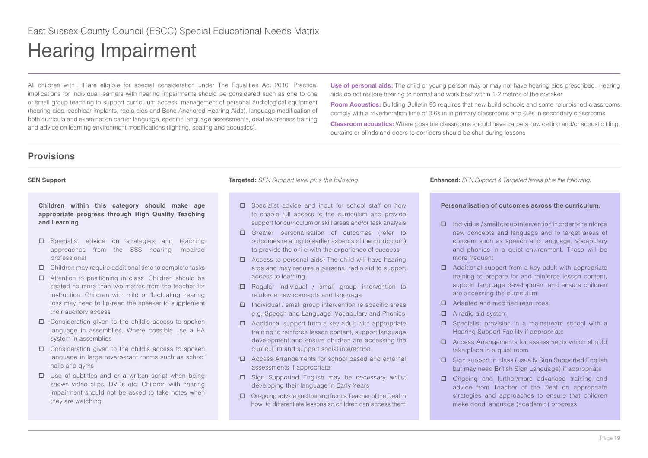All children with HI are eligible for special consideration under The Equalities Act 2010. Practical implications for individual learners with hearing impairments should be considered such as one to one or small group teaching to support curriculum access, management of personal audiological equipment (hearing aids, cochlear implants, radio aids and Bone Anchored Hearing Aids), language modification of both curricula and examination carrier language, specific language assessments, deaf awareness training and advice on learning environment modifications (lighting, seating and acoustics).

**Use of personal aids:** The child or young person may or may not have hearing aids prescribed. Hearing aids do not restore hearing to normal and work best within 1-2 metres of the speaker

**Room Acoustics:** Building Bulletin 93 requires that new build schools and some refurbished classrooms comply with a reverberation time of 0.6s in in primary classrooms and 0.8s in secondary classrooms

**Classroom acoustics:** Where possible classrooms should have carpets, low ceiling and/or acoustic tiling, curtains or blinds and doors to corridors should be shut during lessons

# **Provisions**

**Children within this category should make age appropriate progress through High Quality Teaching and Learning**

- $\square$  Specialist advice on strategies and teaching approaches from the SSS hearing impaired professional
- $\Box$  Children may require additional time to complete tasks
- □ Attention to positioning in class. Children should be seated no more than two metres from the teacher for instruction. Children with mild or fluctuating hearing loss may need to lip-read the speaker to supplement their auditory access
- $\Box$  Consideration given to the child's access to spoken language in assemblies. Where possible use a PA system in assemblies
- $\Box$  Consideration given to the child's access to spoken language in large reverberant rooms such as school halls and gyms
- $\Box$  Use of subtitles and or a written script when being shown video clips, DVDs etc. Children with hearing impairment should not be asked to take notes when they are watching

- $\square$  Specialist advice and input for school staff on how to enable full access to the curriculum and provide support for curriculum or skill areas and/or task analysis
- Greater personalisation of outcomes (refer to outcomes relating to earlier aspects of the curriculum) to provide the child with the experience of success
- $\Box$  Access to personal aids: The child will have hearing aids and may require a personal radio aid to support access to learning
- $\Box$  Regular individual / small group intervention to reinforce new concepts and language
- $\Box$  Individual / small group intervention re specific areas e.g. Speech and Language, Vocabulary and Phonics
- $\Box$  Additional support from a key adult with appropriate training to reinforce lesson content, support language development and ensure children are accessing the curriculum and support social interaction
- □ Access Arrangements for school based and external assessments if appropriate
- $\square$  Sign Supported English may be necessary whilst developing their language in Early Years
- $\Box$  On-going advice and training from a Teacher of the Deaf in how to differentiate lessons so children can access them

**SEN Support Targeted:** *SEN Support level plus the following:* **Enhanced:** *SEN Support & Targeted levels plus the following:*

## **Personalisation of outcomes across the curriculum.**

- $\Box$  Individual/ small group intervention in order to reinforce new concepts and language and to target areas of concern such as speech and language, vocabulary and phonics in a quiet environment. These will be more frequent
- $\Box$  Additional support from a key adult with appropriate training to prepare for and reinforce lesson content, support language development and ensure children are accessing the curriculum
- □ Adapted and modified resources
- $\Box$  A radio aid system
- $\square$  Specialist provision in a mainstream school with a Hearing Support Facility if appropriate
- □ Access Arrangements for assessments which should take place in a quiet room
- $\square$  Sign support in class (usually Sign Supported English but may need British Sign Language) if appropriate
- Ongoing and further/more advanced training and advice from Teacher of the Deaf on appropriate strategies and approaches to ensure that children make good language (academic) progress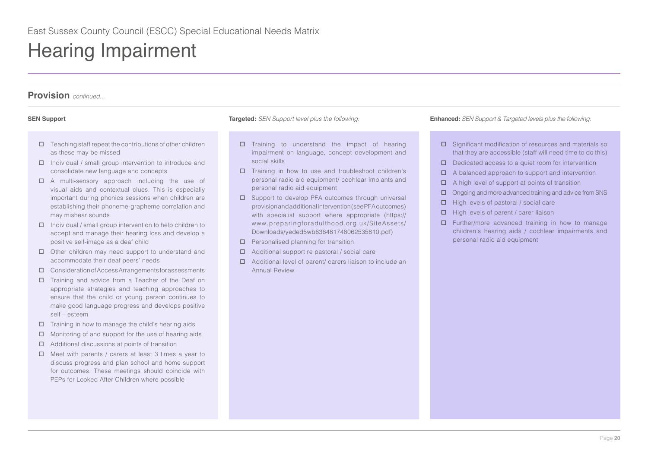- $\Box$  Teaching staff repeat the contributions of other children as these may be missed
- $\Box$  Individual / small group intervention to introduce and consolidate new language and concepts
- A multi-sensory approach including the use of visual aids and contextual clues. This is especially important during phonics sessions when children are establishing their phoneme-grapheme correlation and may mishear sounds
- $\Box$  Individual / small group intervention to help children to accept and manage their hearing loss and develop a positive self-image as a deaf child
- □ Other children may need support to understand and accommodate their deaf peers' needs
- Consideration of Access Arrangements for assessments
- $\square$  Training and advice from a Teacher of the Deaf on appropriate strategies and teaching approaches to ensure that the child or young person continues to make good language progress and develops positive self – esteem
- $\Box$  Training in how to manage the child's hearing aids
- $\Box$  Monitoring of and support for the use of hearing aids
- $\Box$  Additional discussions at points of transition
- $\Box$  Meet with parents / carers at least 3 times a year to discuss progress and plan school and home support for outcomes. These meetings should coincide with PEPs for Looked After Children where possible

- $\square$  Training to understand the impact of hearing impairment on language, concept development and social skills
- $\Box$  Training in how to use and troubleshoot children's personal radio aid equipment/ cochlear implants and personal radio aid equipment
- $\square$  Support to develop PFA outcomes through universal provision and additional intervention (see PFA outcomes) with specialist support where appropriate (https:// www.preparingforadulthood.org.uk/SiteAssets/ Downloads/yeded5wb636481748062535810.pdf)
- $\Box$  Personalised planning for transition
- Additional support re pastoral / social care
- Additional level of parent/ carers liaison to include an Annual Review

- □ Significant modification of resources and materials so that they are accessible (staff will need time to do this)
- $\Box$  Dedicated access to a quiet room for intervention
- $\Box$  A balanced approach to support and intervention
- $\Box$  A high level of support at points of transition
- $\Box$  Ongoing and more advanced training and advice from SNS
- $\Box$  High levels of pastoral / social care
- $\Box$  High levels of parent / carer liaison
- $\square$  Further/more advanced training in how to manage children's hearing aids / cochlear impairments and personal radio aid equipment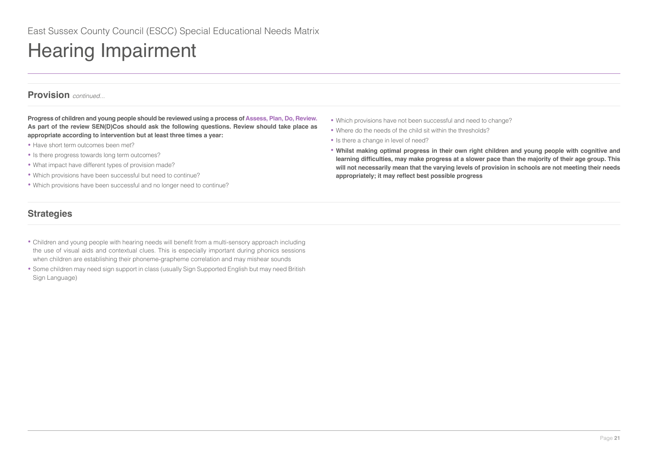# **Provision** *continued...*

**Progress of children and young people should be reviewed using a process of Assess, Plan, Do, Review. As part of the review SEN(D)Cos should ask the following questions. Review should take place as appropriate according to intervention but at least three times a year:** 

- Have short term outcomes been met?
- Is there progress towards long term outcomes?
- What impact have different types of provision made?
- Which provisions have been successful but need to continue?
- Which provisions have been successful and no longer need to continue?

# **Strategies**

- Children and young people with hearing needs will benefit from a multi-sensory approach including the use of visual aids and contextual clues. This is especially important during phonics sessions when children are establishing their phoneme-grapheme correlation and may mishear sounds
- Some children may need sign support in class (usually Sign Supported English but may need British Sign Language)
- Which provisions have not been successful and need to change?
- Where do the needs of the child sit within the thresholds?
- Is there a change in level of need?
- **Whilst making optimal progress in their own right children and young people with cognitive and learning difficulties, may make progress at a slower pace than the majority of their age group. This will not necessarily mean that the varying levels of provision in schools are not meeting their needs appropriately; it may reflect best possible progress**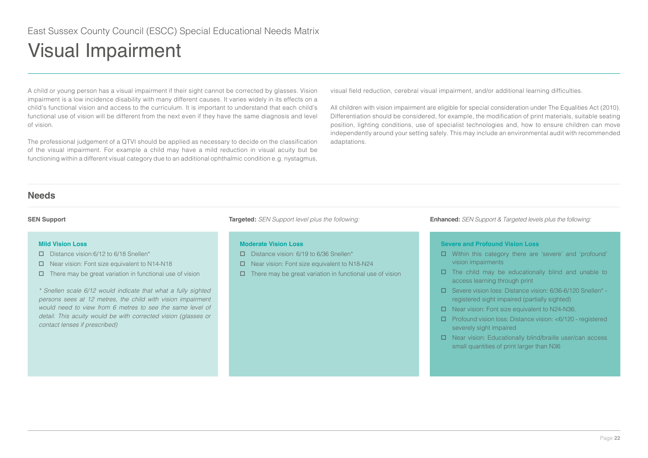<span id="page-21-0"></span>A child or young person has a visual impairment if their sight cannot be corrected by glasses. Vision impairment is a low incidence disability with many different causes. It varies widely in its effects on a child's functional vision and access to the curriculum. It is important to understand that each child's functional use of vision will be different from the next even if they have the same diagnosis and level of vision.

The professional judgement of a QTVI should be applied as necessary to decide on the classification of the visual impairment. For example a child may have a mild reduction in visual acuity but be functioning within a different visual category due to an additional ophthalmic condition e.g. nystagmus,

visual field reduction, cerebral visual impairment, and/or additional learning difficulties.

All children with vision impairment are eligible for special consideration under The Equalities Act (2010). Differentiation should be considered, for example, the modification of print materials, suitable seating position, lighting conditions, use of specialist technologies and, how to ensure children can move independently around your setting safely. This may include an environmental audit with recommended adaptations.

## **Needs**

## **Mild Vision Loss**

- Distance vision: 6/12 to 6/18 Snellen\*
- Near vision: Font size equivalent to N14-N18
- $\Box$  There may be great variation in functional use of vision

\* Snellen scale 6/12 would indicate that what a fully sighted *persons sees at 12 metres, the child with vision impairment*  would need to view from 6 metres to see the same level of *detail. This acuity would be with corrected vision (glasses or contact lenses if prescribed)*

## **Moderate Vision Loss**

- Distance vision: 6/19 to 6/36 Snellen\*
- Near vision: Font size equivalent to N18-N24
- $\Box$  There may be great variation in functional use of vision

**SEN Support Targeted:** *SEN Support level plus the following:* **Enhanced:** *SEN Support & Targeted levels plus the following:*

## **Severe and Profound Vision Loss**

- Within this category there are 'severe' and 'profound' vision impairments
- $\Box$  The child may be educationally blind and unable to access learning through print
- Severe vision loss: Distance vision: 6/36-6/120 Snellen\* registered sight impaired (partially sighted)
- □ Near vision: Font size equivalent to N24-N36.
- Profound vision loss: Distance vision: <6/120 registered severely sight impaired
- Near vision: Educationally blind/braille user/can access small quantities of print larger than N36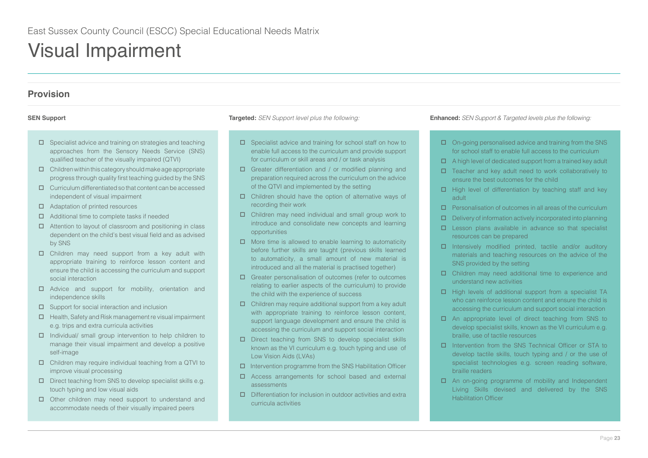# **Provision**

- $\square$  Specialist advice and training on strategies and teaching approaches from the Sensory Needs Service (SNS) qualified teacher of the visually impaired (QTVI)
- $\Box$  Children within this category should make age appropriate progress through quality first teaching guided by the SNS
- $\Box$  Curriculum differentiated so that content can be accessed independent of visual impairment
- □ Adaptation of printed resources
- $\Box$  Additional time to complete tasks if needed
- $\Box$  Attention to layout of classroom and positioning in class dependent on the child's best visual field and as advised by SNS
- □ Children may need support from a key adult with appropriate training to reinforce lesson content and ensure the child is accessing the curriculum and support social interaction
- Advice and support for mobility, orientation and independence skills
- $\square$  Support for social interaction and inclusion
- $\Box$  Health, Safety and Risk management re visual impairment e.g. trips and extra curricula activities
- $\Box$  Individual/ small group intervention to help children to manage their visual impairment and develop a positive self-image
- □ Children may require individual teaching from a QTVI to improve visual processing
- $\square$  Direct teaching from SNS to develop specialist skills e.g. touch typing and low visual aids
- □ Other children may need support to understand and accommodate needs of their visually impaired peers

- $\square$  Specialist advice and training for school staff on how to enable full access to the curriculum and provide support for curriculum or skill areas and / or task analysis
- Greater differentiation and / or modified planning and preparation required across the curriculum on the advice of the QTVI and implemented by the setting
- Children should have the option of alternative ways of recording their work
- Children may need individual and small group work to introduce and consolidate new concepts and learning opportunities
- $\Box$  More time is allowed to enable learning to automaticity before further skills are taught (previous skills learned to automaticity, a small amount of new material is introduced and all the material is practised together)
- Greater personalisation of outcomes (refer to outcomes relating to earlier aspects of the curriculum) to provide the child with the experience of success
- $\Box$  Children may require additional support from a key adult with appropriate training to reinforce lesson content, support language development and ensure the child is accessing the curriculum and support social interaction
- Direct teaching from SNS to develop specialist skills known as the VI curriculum e.g. touch typing and use of Low Vision Aids (LVAs)
- $\Box$  Intervention programme from the SNS Habilitation Officer
- Access arrangements for school based and external assessments
- $\Box$  Differentiation for inclusion in outdoor activities and extra curricula activities

- $\Box$  On-going personalised advice and training from the SNS for school staff to enable full access to the curriculum
- $\Box$  A high level of dedicated support from a trained key adult
- $\square$  Teacher and key adult need to work collaboratively to ensure the best outcomes for the child
- $\Box$  High level of differentiation by teaching staff and key adult
- $\square$  Personalisation of outcomes in all areas of the curriculum
- $\square$  Delivery of information actively incorporated into planning
- $\square$  Lesson plans available in advance so that specialist resources can be prepared
- $\Box$  Intensively modified printed, tactile and/or auditory materials and teaching resources on the advice of the SNS provided by the setting
- Children may need additional time to experience and understand new activities
- $\Box$  High levels of additional support from a specialist TA who can reinforce lesson content and ensure the child is accessing the curriculum and support social interaction
- An appropriate level of direct teaching from SNS to develop specialist skills, known as the VI curriculum e.g. braille, use of tactile resources
- Intervention from the SNS Technical Officer or STA to develop tactile skills, touch typing and / or the use of specialist technologies e.g. screen reading software, braille readers
- □ An on-going programme of mobility and Independent Living Skills devised and delivered by the SNS Habilitation Officer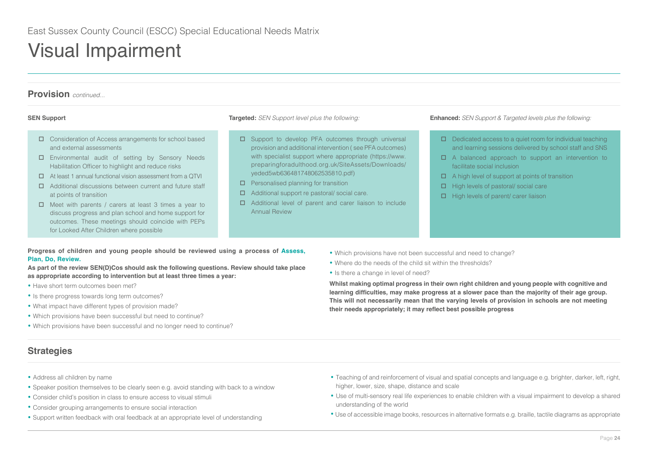

- $\Box$  Meet with parents / carers at least 3 times a year to discuss progress and plan school and home support for outcomes. These meetings should coincide with PEPs for Looked After Children where possible
- □ Additional level of parent and carer liaison to include Annual Review

## **Progress of children and young people should be reviewed using a process of Assess, Plan, Do, Review.**

**As part of the review SEN(D)Cos should ask the following questions. Review should take place as appropriate according to intervention but at least three times a year:** 

- Have short term outcomes been met?
- Is there progress towards long term outcomes?
- What impact have different types of provision made?
- Which provisions have been successful but need to continue?
- Which provisions have been successful and no longer need to continue?

# **Strategies**

- Address all children by name
- Speaker position themselves to be clearly seen e.g. avoid standing with back to a window
- Consider child's position in class to ensure access to visual stimuli
- Consider grouping arrangements to ensure social interaction
- Support written feedback with oral feedback at an appropriate level of understanding
- Which provisions have not been successful and need to change?
- Where do the needs of the child sit within the thresholds?
- Is there a change in level of need?

**Whilst making optimal progress in their own right children and young people with cognitive and learning difficulties, may make progress at a slower pace than the majority of their age group. This will not necessarily mean that the varying levels of provision in schools are not meeting their needs appropriately; it may reflect best possible progress**

- Teaching of and reinforcement of visual and spatial concepts and language e.g. brighter, darker, left, right, higher, lower, size, shape, distance and scale
- Use of multi-sensory real life experiences to enable children with a visual impairment to develop a shared understanding of the world
- Use of accessible image books, resources in alternative formats e.g. braille, tactile diagrams as appropriate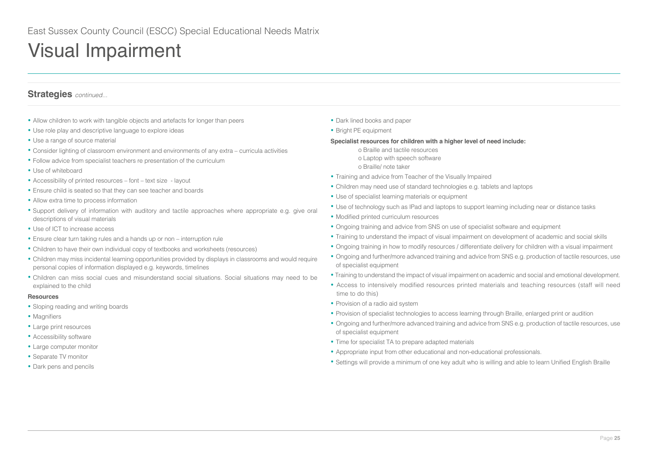# **Strategies** *continued...*

- Allow children to work with tangible objects and artefacts for longer than peers
- Use role play and descriptive language to explore ideas
- Use a range of source material
- Consider lighting of classroom environment and environments of any extra curricula activities
- Follow advice from specialist teachers re presentation of the curriculum
- Use of whiteboard
- Accessibility of printed resources font text size layout
- Ensure child is seated so that they can see teacher and boards
- Allow extra time to process information
- Support delivery of information with auditory and tactile approaches where appropriate e.g. give oral descriptions of visual materials
- Use of ICT to increase access
- Ensure clear turn taking rules and a hands up or non interruption rule
- Children to have their own individual copy of textbooks and worksheets (resources)
- Children may miss incidental learning opportunities provided by displays in classrooms and would require personal copies of information displayed e.g. keywords, timelines
- Children can miss social cues and misunderstand social situations. Social situations may need to be explained to the child

### **Resources**

- Sloping reading and writing boards
- Magnifiers
- Large print resources
- Accessibility software
- Large computer monitor
- Separate TV monitor
- Dark pens and pencils
- Dark lined books and paper
- Bright PE equipment

### **Specialist resources for children with a higher level of need include:**

- o Braille and tactile resources o Laptop with speech software o Braille/ note taker
- Training and advice from Teacher of the Visually Impaired
- Children may need use of standard technologies e.g. tablets and laptops
- Use of specialist learning materials or equipment
- Use of technology such as IPad and laptops to support learning including near or distance tasks
- Modified printed curriculum resources
- Ongoing training and advice from SNS on use of specialist software and equipment
- Training to understand the impact of visual impairment on development of academic and social skills
- Ongoing training in how to modify resources / differentiate delivery for children with a visual impairment
- Ongoing and further/more advanced training and advice from SNS e.g. production of tactile resources, use of specialist equipment
- Training to understand the impact of visual impairment on academic and social and emotional development.
- Access to intensively modified resources printed materials and teaching resources (staff will need time to do this)
- Provision of a radio aid system
- Provision of specialist technologies to access learning through Braille, enlarged print or audition
- Ongoing and further/more advanced training and advice from SNS e.g. production of tactile resources, use of specialist equipment
- Time for specialist TA to prepare adapted materials
- Appropriate input from other educational and non-educational professionals.
- Settings will provide a minimum of one key adult who is willing and able to learn Unified English Braille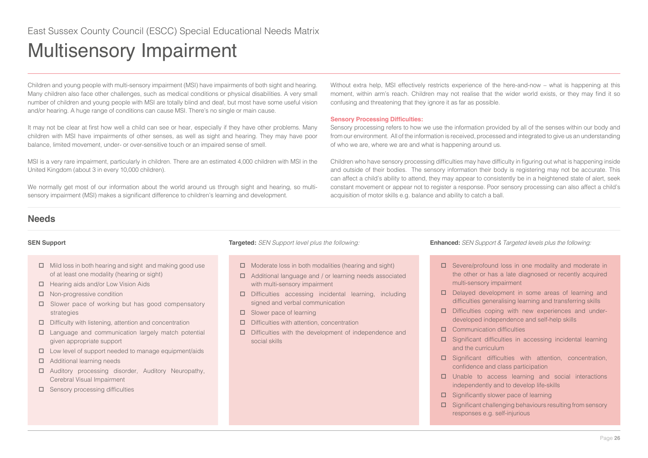# <span id="page-25-0"></span>Multisensory Impairment

Children and young people with multi-sensory impairment (MSI) have impairments of both sight and hearing. Many children also face other challenges, such as medical conditions or physical disabilities. A very small number of children and young people with MSI are totally blind and deaf, but most have some useful vision and/or hearing. A huge range of conditions can cause MSI. There's no single or main cause.

It may not be clear at first how well a child can see or hear, especially if they have other problems. Many children with MSI have impairments of other senses, as well as sight and hearing. They may have poor balance, limited movement, under- or over-sensitive touch or an impaired sense of smell.

MSI is a very rare impairment, particularly in children. There are an estimated 4,000 children with MSI in the United Kingdom (about 3 in every 10,000 children).

We normally get most of our information about the world around us through sight and hearing, so multisensory impairment (MSI) makes a significant difference to children's learning and development.

Without extra help, MSI effectively restricts experience of the here-and-now – what is happening at this moment, within arm's reach. Children may not realise that the wider world exists, or they may find it so confusing and threatening that they ignore it as far as possible.

## **Sensory Processing Difficulties:**

Sensory processing refers to how we use the information provided by all of the senses within our body and from our environment. All of the information is received, processed and integrated to give us an understanding of who we are, where we are and what is happening around us.

Children who have sensory processing difficulties may have difficulty in figuring out what is happening inside and outside of their bodies. The sensory information their body is registering may not be accurate. This can affect a child's ability to attend, they may appear to consistently be in a heightened state of alert, seek constant movement or appear not to register a response. Poor sensory processing can also affect a child's acquisition of motor skills e.g. balance and ability to catch a ball.

# **Needs**

- $\Box$  Mild loss in both hearing and sight and making good use of at least one modality (hearing or sight)
- $\Box$  Hearing aids and/or Low Vision Aids
- □ Non-progressive condition
- $\square$  Slower pace of working but has good compensatory strategies
- $\Box$  Difficulty with listening, attention and concentration
- $\square$  Language and communication largely match potential given appropriate support
- $\square$  Low level of support needed to manage equipment/aids
- □ Additional learning needs
- Auditory processing disorder, Auditory Neuropathy, Cerebral Visual Impairment
- $\square$  Sensory processing difficulties

- $\Box$  Moderate loss in both modalities (hearing and sight)
- Additional language and / or learning needs associated with multi-sensory impairment
- Difficulties accessing incidental learning, including signed and verbal communication
- $\square$  Slower pace of learning
- $\square$  Difficulties with attention, concentration
- $\square$  Difficulties with the development of independence and social skills

- □ Severe/profound loss in one modality and moderate in the other or has a late diagnosed or recently acquired multi-sensory impairment
- Delayed development in some areas of learning and difficulties generalising learning and transferring skills
- $\square$  Difficulties coping with new experiences and underdeveloped independence and self-help skills
- **Communication difficulties**
- Significant difficulties in accessing incidental learning and the curriculum
- □ Significant difficulties with attention, concentration, confidence and class participation
- $\square$  Unable to access learning and social interactions independently and to develop life-skills
- $\square$  Significantly slower pace of learning
- $\square$  Significant challenging behaviours resulting from sensory responses e.g. self-injurious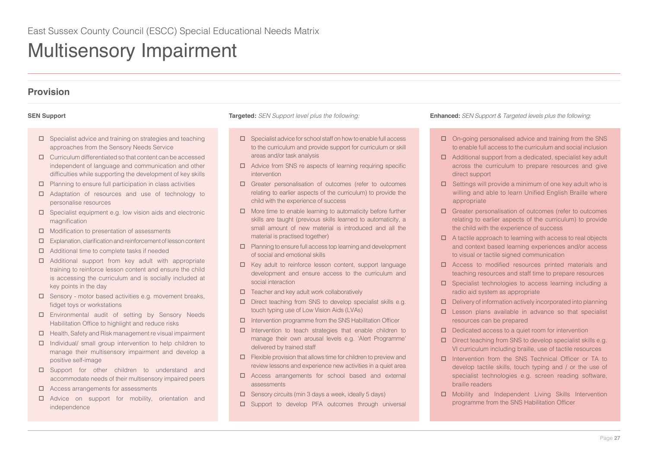# Multisensory Impairment

# **Provision**

- $\square$  Specialist advice and training on strategies and teaching approaches from the Sensory Needs Service
- $\Box$  Curriculum differentiated so that content can be accessed independent of language and communication and other difficulties while supporting the development of key skills
- $\square$  Planning to ensure full participation in class activities
- Adaptation of resources and use of technology to personalise resources
- $\square$  Specialist equipment e.g. low vision aids and electronic magnification
- $\Box$  Modification to presentation of assessments
- $\square$  Explanation, clarification and reinforcement of lesson content
- □ Additional time to complete tasks if needed
- Additional support from key adult with appropriate training to reinforce lesson content and ensure the child is accessing the curriculum and is socially included at key points in the day
- $\square$  Sensory motor based activities e.g. movement breaks, fidget toys or workstations
- Environmental audit of setting by Sensory Needs Habilitation Office to highlight and reduce risks
- $\Box$  Health, Safety and Risk management re visual impairment
- $\Box$  Individual/ small group intervention to help children to manage their multisensory impairment and develop a positive self-image
- □ Support for other children to understand and accommodate needs of their multisensory impaired peers
- $\Box$  Access arrangements for assessments
- Advice on support for mobility, orientation and independence

- $\square$  Specialist advice for school staff on how to enable full access to the curriculum and provide support for curriculum or skill areas and/or task analysis
- $\Box$  Advice from SNS re aspects of learning requiring specific intervention
- Greater personalisation of outcomes (refer to outcomes relating to earlier aspects of the curriculum) to provide the child with the experience of success
- $\Box$  More time to enable learning to automaticity before further skills are taught (previous skills learned to automaticity, a small amount of new material is introduced and all the material is practised together)
- $\Box$  Planning to ensure full access top learning and development of social and emotional skills
- $\Box$  Key adult to reinforce lesson content, support language development and ensure access to the curriculum and social interaction
- $\Box$  Teacher and key adult work collaboratively
- $\square$  Direct teaching from SNS to develop specialist skills e.g. touch typing use of Low Vision Aids (LVAs)
- $\Box$  Intervention programme from the SNS Habilitation Officer
- $\Box$  Intervention to teach strategies that enable children to manage their own arousal levels e.g. 'Alert Programme' delivered by trained staff
- $\Box$  Flexible provision that allows time for children to preview and review lessons and experience new activities in a quiet area
- Access arrangements for school based and external assessments
- $\Box$  Sensory circuits (min 3 days a week, ideally 5 days)
- □ Support to develop PFA outcomes through universal

- □ On-going personalised advice and training from the SNS to enable full access to the curriculum and social inclusion
- $\Box$  Additional support from a dedicated, specialist key adult across the curriculum to prepare resources and give direct support
- $\Box$  Settings will provide a minimum of one key adult who is willing and able to learn Unified English Braille where appropriate
- Greater personalisation of outcomes (refer to outcomes relating to earlier aspects of the curriculum) to provide the child with the experience of success
- $\Box$  A tactile approach to learning with access to real objects and context based learning experiences and/or access to visual or tactile signed communication
- Access to modified resources printed materials and teaching resources and staff time to prepare resources
- □ Specialist technologies to access learning including a radio aid system as appropriate
- $\square$  Delivery of information actively incorporated into planning
- $\square$  Lesson plans available in advance so that specialist resources can be prepared
- $\Box$  Dedicated access to a quiet room for intervention
- $\square$  Direct teaching from SNS to develop specialist skills e.g. VI curriculum including braille, use of tactile resources
- Intervention from the SNS Technical Officer or TA to develop tactile skills, touch typing and / or the use of specialist technologies e.g. screen reading software, braille readers
- Mobility and Independent Living Skills Intervention programme from the SNS Habilitation Officer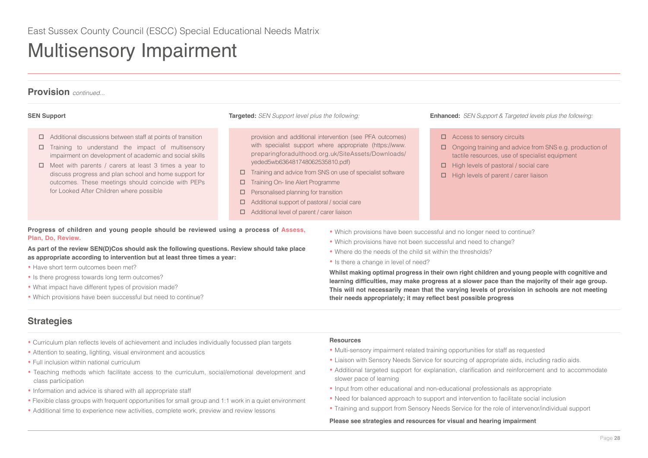# Multisensory Impairment



- $\Box$  Additional discussions between staff at points of transition
- $\square$  Training to understand the impact of multisensory impairment on development of academic and social skills
- $\Box$  Meet with parents / carers at least 3 times a year to discuss progress and plan school and home support for outcomes. These meetings should coincide with PEPs for Looked After Children where possible

provision and additional intervention (see PFA outcomes) with specialist support where appropriate (https://www. preparingforadulthood.org.uk/SiteAssets/Downloads/ yeded5wb636481748062535810.pdf)

- $\Box$  Training and advice from SNS on use of specialist software
- □ Training On- line Alert Programme
- $\Box$  Personalised planning for transition
- $\Box$  Additional support of pastoral / social care
- Additional level of parent / carer liaison
- □ Access to sensory circuits
- □ Ongoing training and advice from SNS e.g. production of tactile resources, use of specialist equipment
- $\Box$  High levels of pastoral / social care
- $\Box$  High levels of parent / carer liaison

**Progress of children and young people should be reviewed using a process of Assess, Plan, Do, Review.**

**As part of the review SEN(D)Cos should ask the following questions. Review should take place as appropriate according to intervention but at least three times a year:** 

- Have short term outcomes been met?
- Is there progress towards long term outcomes?
- What impact have different types of provision made?
- Which provisions have been successful but need to continue?

## **•** Which provisions have been successful and no longer need to continue?

- Which provisions have not been successful and need to change?
- Where do the needs of the child sit within the thresholds?
- Is there a change in level of need?

**Whilst making optimal progress in their own right children and young people with cognitive and learning difficulties, may make progress at a slower pace than the majority of their age group. This will not necessarily mean that the varying levels of provision in schools are not meeting their needs appropriately; it may reflect best possible progress**

# **Strategies**

- Curriculum plan reflects levels of achievement and includes individually focussed plan targets
- Attention to seating, lighting, visual environment and acoustics
- Full inclusion within national curriculum
- Teaching methods which facilitate access to the curriculum, social/emotional development and class participation
- Information and advice is shared with all appropriate staff
- Flexible class groups with frequent opportunities for small group and 1:1 work in a quiet environment
- Additional time to experience new activities, complete work, preview and review lessons

### **Resources**

- Multi-sensory impairment related training opportunities for staff as requested
- Liaison with Sensory Needs Service for sourcing of appropriate aids, including radio aids.
- Additional targeted support for explanation, clarification and reinforcement and to accommodate slower pace of learning
- Input from other educational and non-educational professionals as appropriate
- Need for balanced approach to support and intervention to facilitate social inclusion
- Training and support from Sensory Needs Service for the role of intervenor/individual support

### **Please see strategies and resources for visual and hearing impairment**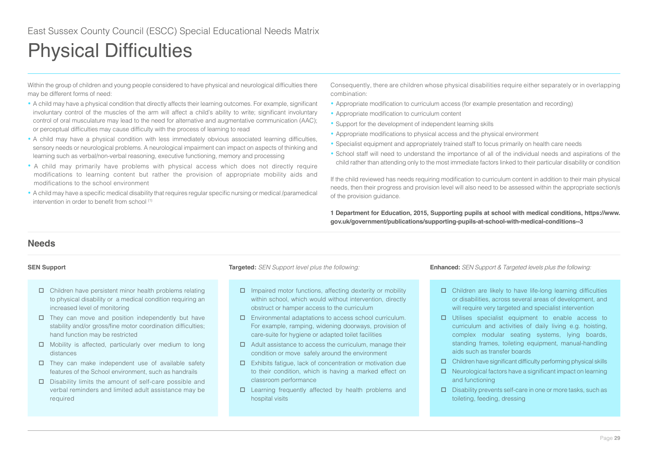<span id="page-28-0"></span>Within the group of children and young people considered to have physical and neurological difficulties there may be different forms of need:

- A child may have a physical condition that directly affects their learning outcomes. For example, significant involuntary control of the muscles of the arm will affect a child's ability to write; significant involuntary control of oral musculature may lead to the need for alternative and augmentative communication (AAC); or perceptual difficulties may cause difficulty with the process of learning to read
- A child may have a physical condition with less immediately obvious associated learning difficulties, sensory needs or neurological problems. A neurological impairment can impact on aspects of thinking and learning such as verbal/non-verbal reasoning, executive functioning, memory and processing
- A child may primarily have problems with physical access which does not directly require modifications to learning content but rather the provision of appropriate mobility aids and modifications to the school environment
- A child may have a specific medical disability that requires regular specific nursing or medical /paramedical intervention in order to benefit from school (1)

Consequently, there are children whose physical disabilities require either separately or in overlapping combination:

- Appropriate modification to curriculum access (for example presentation and recording)
- Appropriate modification to curriculum content
- Support for the development of independent learning skills
- Appropriate modifications to physical access and the physical environment
- Specialist equipment and appropriately trained staff to focus primarily on health care needs
- School staff will need to understand the importance of all of the individual needs and aspirations of the child rather than attending only to the most immediate factors linked to their particular disability or condition

If the child reviewed has needs requiring modification to curriculum content in addition to their main physical needs, then their progress and provision level will also need to be assessed within the appropriate section/s of the provision guidance.

**1 Department for Education, 2015, Supporting pupils at school with medical conditions, https://www. gov.uk/government/publications/supporting-pupils-at-school-with-medical-conditions--3**

## **Needs**

- $\Box$  Children have persistent minor health problems relating to physical disability or a medical condition requiring an increased level of monitoring
- $\Box$  They can move and position independently but have stability and/or gross/fine motor coordination difficulties; hand function may be restricted
- $\Box$  Mobility is affected, particularly over medium to long distances
- $\square$  They can make independent use of available safety features of the School environment, such as handrails
- $\square$  Disability limits the amount of self-care possible and verbal reminders and limited adult assistance may be required

- $\Box$  Impaired motor functions, affecting dexterity or mobility within school, which would without intervention, directly obstruct or hamper access to the curriculum
- Environmental adaptations to access school curriculum. For example, ramping, widening doorways, provision of care-suite for hygiene or adapted toilet facilities
- $\Box$  Adult assistance to access the curriculum, manage their condition or move safely around the environment
- Exhibits fatigue, lack of concentration or motivation due to their condition, which is having a marked effect on classroom performance
- Learning frequently affected by health problems and hospital visits

- $\Box$  Children are likely to have life-long learning difficulties or disabilities, across several areas of development, and will require very targeted and specialist intervention
- Utilises specialist equipment to enable access to curriculum and activities of daily living e.g. hoisting, complex modular seating systems, lying boards, standing frames, toileting equipment, manual-handling aids such as transfer boards
- $\Box$  Children have significant difficulty performing physical skills
- $\Box$  Neurological factors have a significant impact on learning and functioning
- $\square$  Disability prevents self-care in one or more tasks, such as toileting, feeding, dressing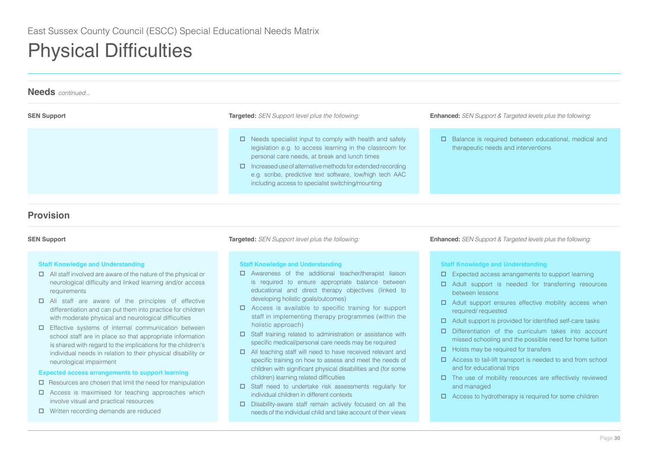| <b>Needs</b> continued |                                                                                                                                                                                                                                                                                                                                                             |                                                                                                    |
|------------------------|-------------------------------------------------------------------------------------------------------------------------------------------------------------------------------------------------------------------------------------------------------------------------------------------------------------------------------------------------------------|----------------------------------------------------------------------------------------------------|
| <b>SEN Support</b>     | <b>Targeted:</b> SEN Support level plus the following:                                                                                                                                                                                                                                                                                                      | <b>Enhanced:</b> SEN Support & Targeted levels plus the following:                                 |
|                        | $\Box$ Needs specialist input to comply with health and safety<br>legislation e.g. to access learning in the classroom for<br>personal care needs, at break and lunch times<br>Increased use of alternative methods for extended recording<br>e.g. scribe, predictive text software, low/high tech AAC<br>including access to specialist switching/mounting | $\Box$ Balance is required between educational, medical and<br>therapeutic needs and interventions |

# **Provision**

## **Staff Knowledge and Understanding**

- $\Box$  All staff involved are aware of the nature of the physical or neurological difficulty and linked learning and/or access requirements
- $\Box$  All staff are aware of the principles of effective differentiation and can put them into practice for children with moderate physical and neurological difficulties
- $\square$  Effective systems of internal communication between school staff are in place so that appropriate information is shared with regard to the implications for the children's individual needs in relation to their physical disability or neurological impairment

## **Expected access arrangements to support learning**

- $\Box$  Resources are chosen that limit the need for manipulation
- $\Box$  Access is maximised for teaching approaches which involve visual and practical resources
- □ Written recording demands are reduced

## **Staff Knowledge and Understanding**

- Awareness of the additional teacher/therapist liaison is required to ensure appropriate balance between educational and direct therapy objectives (linked to developing holistic goals/outcomes)
- □ Access is available to specific training for support staff in implementing therapy programmes (within the holistic approach)
- $\square$  Staff training related to administration or assistance with specific medical/personal care needs may be required
- □ All teaching staff will need to have received relevant and specific training on how to assess and meet the needs of children with significant physical disabilities and (for some children) learning related difficulties
- Staff need to undertake risk assessments regularly for individual children in different contexts
- $\square$  Disability-aware staff remain actively focused on all the needs of the individual child and take account of their views

**SEN Support Targeted:** *SEN Support level plus the following:* **Enhanced:** *SEN Support & Targeted levels plus the following:*

## **Staff Knowledge and Understanding**

- $\Box$  Expected access arrangements to support learning
- Adult support is needed for transferring resources between lessons
- $\Box$  Adult support ensures effective mobility access when required/ requested
- $\Box$  Adult support is provided for identified self-care tasks
- D Differentiation of the curriculum takes into account missed schooling and the possible need for home tuition
- $\Box$  Hoists may be required for transfers
- $\Box$  Access to tail-lift transport is needed to and from school and for educational trips
- $\square$  The use of mobility resources are effectively reviewed and managed
- $\Box$  Access to hydrotherapy is required for some children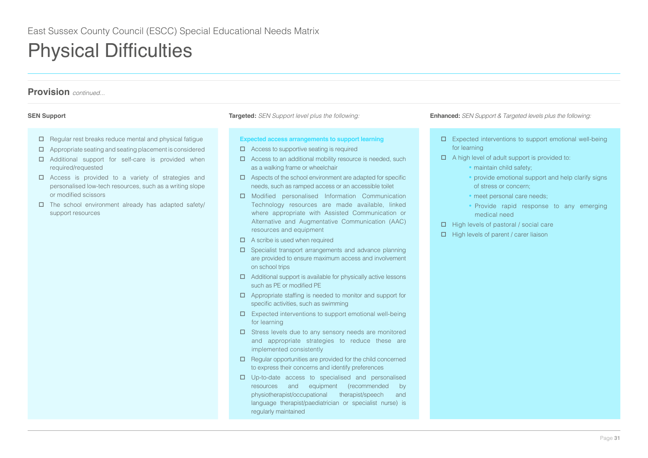# **Provision** *continued...*

- $\Box$  Regular rest breaks reduce mental and physical fatigue
- $\Box$  Appropriate seating and seating placement is considered
- □ Additional support for self-care is provided when required/requested
- □ Access is provided to a variety of strategies and personalised low-tech resources, such as a writing slope or modified scissors
- $\square$  The school environment already has adapted safety/ support resources

### **Expected access arrangements to support learning**

- $\Box$  Access to supportive seating is required
- $\Box$  Access to an additional mobility resource is needed, such as a walking frame or wheelchair
- $\Box$  Aspects of the school environment are adapted for specific needs, such as ramped access or an accessible toilet
- Modified personalised Information Communication Technology resources are made available, linked where appropriate with Assisted Communication or Alternative and Augmentative Communication (AAC) resources and equipment
- $\Box$  A scribe is used when required
- $\square$  Specialist transport arrangements and advance planning are provided to ensure maximum access and involvement on school trips
- $\Box$  Additional support is available for physically active lessons such as PE or modified PE
- $\Box$  Appropriate staffing is needed to monitor and support for specific activities, such as swimming
- $\square$  Expected interventions to support emotional well-being for learning
- $\square$  Stress levels due to any sensory needs are monitored and appropriate strategies to reduce these are implemented consistently
- $\Box$  Regular opportunities are provided for the child concerned to express their concerns and identify preferences
- $\square$  Up-to-date access to specialised and personalised resources and equipment (recommended by physiotherapist/occupational therapist/speech and language therapist/paediatrician or specialist nurse) is regularly maintained

- Expected interventions to support emotional well-being for learning
- $\Box$  A high level of adult support is provided to:
	- maintain child safety;
	- provide emotional support and help clarify signs of stress or concern;
	- meet personal care needs;
	- Provide rapid response to any emerging medical need
- $\Box$  High levels of pastoral / social care
- $\Box$  High levels of parent / carer liaison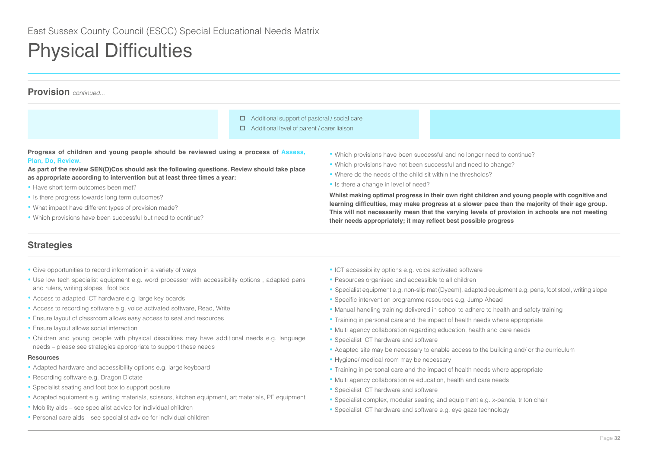# **Provision** *continued...*

- □ Additional support of pastoral / social care
- $\Box$  Additional level of parent / carer liaison

**Progress of children and young people should be reviewed using a process of Assess, Plan, Do, Review.**

**As part of the review SEN(D)Cos should ask the following questions. Review should take place as appropriate according to intervention but at least three times a year:** 

- Have short term outcomes been met?
- Is there progress towards long term outcomes?
- What impact have different types of provision made?
- Which provisions have been successful but need to continue?
- Which provisions have been successful and no longer need to continue?
- Which provisions have not been successful and need to change?
- Where do the needs of the child sit within the thresholds?
- Is there a change in level of need?

**Whilst making optimal progress in their own right children and young people with cognitive and learning difficulties, may make progress at a slower pace than the majority of their age group. This will not necessarily mean that the varying levels of provision in schools are not meeting their needs appropriately; it may reflect best possible progress**

# **Strategies**

- Give opportunities to record information in a variety of ways
- Use low tech specialist equipment e.g. word processor with accessibility options , adapted pens and rulers, writing slopes, foot box
- Access to adapted ICT hardware e.g. large key boards
- Access to recording software e.g. voice activated software, Read, Write
- Ensure layout of classroom allows easy access to seat and resources
- Ensure layout allows social interaction
- Children and young people with physical disabilities may have additional needs e.g. language needs – please see strategies appropriate to support these needs

### **Resources**

- Adapted hardware and accessibility options e.g. large keyboard
- Recording software e.g. Dragon Dictate
- Specialist seating and foot box to support posture
- Adapted equipment e.g. writing materials, scissors, kitchen equipment, art materials, PE equipment
- Mobility aids see specialist advice for individual children
- Personal care aids see specialist advice for individual children
- ICT accessibility options e.g. voice activated software
- Resources organised and accessible to all children
- Specialist equipment e.g. non-slip mat (Dycem), adapted equipment e.g. pens, foot stool, writing slope
- Specific intervention programme resources e.g. Jump Ahead
- Manual handling training delivered in school to adhere to health and safety training
- Training in personal care and the impact of health needs where appropriate
- Multi agency collaboration regarding education, health and care needs
- Specialist ICT hardware and software
- Adapted site may be necessary to enable access to the building and/ or the curriculum
- Hygiene/ medical room may be necessary
- Training in personal care and the impact of health needs where appropriate
- Multi agency collaboration re education, health and care needs
- Specialist ICT hardware and software
- Specialist complex, modular seating and equipment e.g. x-panda, triton chair
- Specialist ICT hardware and software e.g. eye gaze technology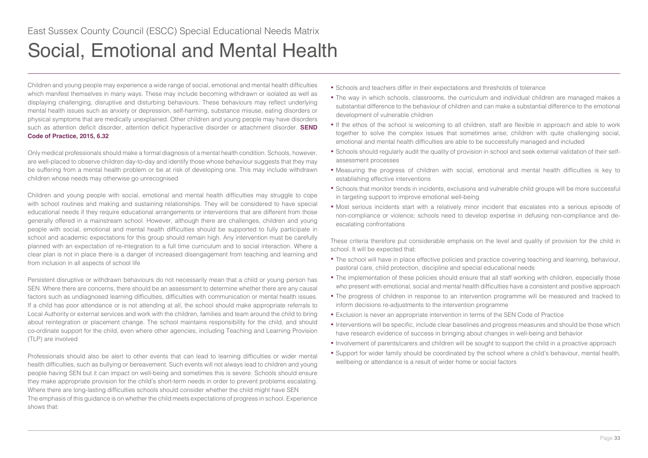<span id="page-32-0"></span>Children and young people may experience a wide range of social, emotional and mental health difficulties which manifest themselves in many ways. These may include becoming withdrawn or isolated as well as displaying challenging, disruptive and disturbing behaviours. These behaviours may reflect underlying mental health issues such as anxiety or depression, self-harming, substance misuse, eating disorders or physical symptoms that are medically unexplained. Other children and young people may have disorders such as attention deficit disorder, attention deficit hyperactive disorder or attachment disorder. **SEND Code of Practice, 2015, 6.32**

Only medical professionals should make a formal diagnosis of a mental health condition. Schools, however, are well-placed to observe children day-to-day and identify those whose behaviour suggests that they may be suffering from a mental health problem or be at risk of developing one. This may include withdrawn children whose needs may otherwise go unrecognised

Children and young people with social, emotional and mental health difficulties may struggle to cope with school routines and making and sustaining relationships. They will be considered to have special educational needs if they require educational arrangements or interventions that are different from those generally offered in a mainstream school. However, although there are challenges, children and young people with social, emotional and mental health difficulties should be supported to fully participate in school and academic expectations for this group should remain high. Any intervention must be carefully planned with an expectation of re-integration to a full time curriculum and to social interaction. Where a clear plan is not in place there is a danger of increased disengagement from teaching and learning and from inclusion in all aspects of school life

Persistent disruptive or withdrawn behaviours do not necessarily mean that a child or young person has SEN. Where there are concerns, there should be an assessment to determine whether there are any causal factors such as undiagnosed learning difficulties, difficulties with communication or mental health issues. If a child has poor attendance or is not attending at all, the school should make appropriate referrals to Local Authority or external services and work with the children, families and team around the child to bring about reintegration or placement change. The school maintains responsibility for the child, and should co-ordinate support for the child, even where other agencies, including Teaching and Learning Provision (TLP) are involved

Professionals should also be alert to other events that can lead to learning difficulties or wider mental health difficulties, such as bullying or bereavement. Such events will not always lead to children and young people having SEN but it can impact on well-being and sometimes this is severe. Schools should ensure they make appropriate provision for the child's short-term needs in order to prevent problems escalating. Where there are long-lasting difficulties schools should consider whether the child might have SEN The emphasis of this guidance is on whether the child meets expectations of progress in school. Experience shows that:

- Schools and teachers differ in their expectations and thresholds of tolerance
- The way in which schools, classrooms, the curriculum and individual children are managed makes a substantial difference to the behaviour of children and can make a substantial difference to the emotional development of vulnerable children
- If the ethos of the school is welcoming to all children, staff are flexible in approach and able to work together to solve the complex issues that sometimes arise; children with quite challenging social, emotional and mental health difficulties are able to be successfully managed and included
- Schools should regularly audit the quality of provision in school and seek external validation of their selfassessment processes
- Measuring the progress of children with social, emotional and mental health difficulties is key to establishing effective interventions
- Schools that monitor trends in incidents, exclusions and vulnerable child groups will be more successful in targeting support to improve emotional well-being
- Most serious incidents start with a relatively minor incident that escalates into a serious episode of non-compliance or violence; schools need to develop expertise in defusing non-compliance and deescalating confrontations

These criteria therefore put considerable emphasis on the level and quality of provision for the child in school. It will be expected that:

- The school will have in place effective policies and practice covering teaching and learning, behaviour, pastoral care, child protection, discipline and special educational needs
- The implementation of these policies should ensure that all staff working with children, especially those who present with emotional, social and mental health difficulties have a consistent and positive approach
- The progress of children in response to an intervention programme will be measured and tracked to inform decisions re-adjustments to the intervention programme
- Exclusion is never an appropriate intervention in terms of the SEN Code of Practice
- Interventions will be specific, include clear baselines and progress measures and should be those which have research evidence of success in bringing about changes in well-being and behavior
- Involvement of parents/carers and children will be sought to support the child in a proactive approach
- Support for wider family should be coordinated by the school where a child's behaviour, mental health, wellbeing or attendance is a result of wider home or social factors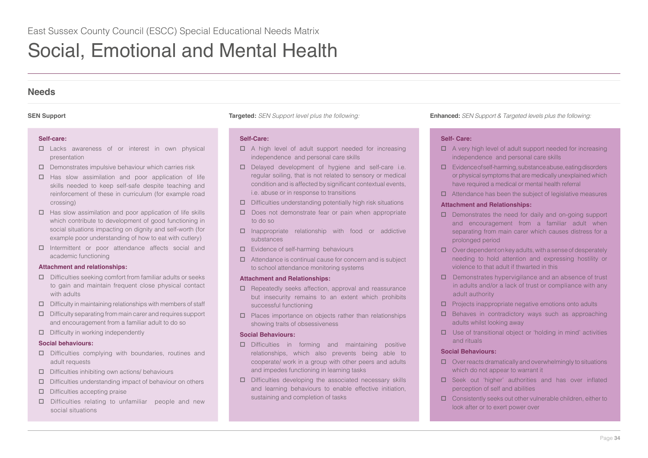# **Needs**

## **Self-care:**

- Lacks awareness of or interest in own physical presentation
- $\square$  Demonstrates impulsive behaviour which carries risk
- $\Box$  Has slow assimilation and poor application of life skills needed to keep self-safe despite teaching and reinforcement of these in curriculum (for example road crossing)
- $\Box$  Has slow assimilation and poor application of life skills which contribute to development of good functioning in social situations impacting on dignity and self-worth (for example poor understanding of how to eat with cutlery)
- Intermittent or poor attendance affects social and academic functioning

## **Attachment and relationships:**

- $\Box$  Difficulties seeking comfort from familiar adults or seeks to gain and maintain frequent close physical contact with adults
- $\square$  Difficulty in maintaining relationships with members of staff
- $\Box$  Difficulty separating from main carer and requires support and encouragement from a familiar adult to do so
- $\square$  Difficulty in working independently

## **Social behaviours:**

- Difficulties complying with boundaries, routines and adult requests
- $\square$  Difficulties inhibiting own actions/ behaviours
- $\Box$  Difficulties understanding impact of behaviour on others
- $\square$  Difficulties accepting praise
- □ Difficulties relating to unfamiliar people and new social situations

## **Self-Care:**

- $\Box$  A high level of adult support needed for increasing independence and personal care skills
- $\square$  Delayed development of hygiene and self-care i.e. regular soiling, that is not related to sensory or medical condition and is affected by significant contextual events, i.e. abuse or in response to transitions
- $\square$  Difficulties understanding potentially high risk situations
- $\square$  Does not demonstrate fear or pain when appropriate to do so
- $\square$  Inappropriate relationship with food or addictive substances
- Evidence of self-harming behaviours
- $\Box$  Attendance is continual cause for concern and is subject to school attendance monitoring systems

## **Attachment and Relationships:**

- $\Box$  Repeatedly seeks affection, approval and reassurance but insecurity remains to an extent which prohibits successful functioning
- $\square$  Places importance on objects rather than relationships showing traits of obsessiveness

## **Social Behaviours:**

- Difficulties in forming and maintaining positive relationships, which also prevents being able to cooperate/ work in a group with other peers and adults and impedes functioning in learning tasks
- $\square$  Difficulties developing the associated necessary skills and learning behaviours to enable effective initiation, sustaining and completion of tasks

**SEN Support Targeted:** *SEN Support level plus the following:* **Enhanced:** *SEN Support & Targeted levels plus the following:*

## **Self- Care:**

- $\Box$  A very high level of adult support needed for increasing independence and personal care skills
- $\square$  Evidence of self-harming, substance abuse, eating disorders or physical symptoms that are medically unexplained which have required a medical or mental health referral
- $\Box$  Attendance has been the subject of legislative measures

## **Attachment and Relationships:**

- $\Box$  Demonstrates the need for daily and on-going support and encouragement from a familiar adult when separating from main carer which causes distress for a prolonged period
- $\Box$  Over dependent on key adults, with a sense of desperately needing to hold attention and expressing hostility or violence to that adult if thwarted in this
- $\square$  Demonstrates hypervigilance and an absence of trust in adults and/or a lack of trust or compliance with any adult authority
- $\Box$  Projects inappropriate negative emotions onto adults
- $\square$  Behaves in contradictory ways such as approaching adults whilst looking away
- $\Box$  Use of transitional object or 'holding in mind' activities and rituals

## **Social Behaviours:**

- $\Box$  Over reacts dramatically and overwhelmingly to situations which do not appear to warrant it
- □ Seek out 'higher' authorities and has over inflated perception of self and abilities
- $\Box$  Consistently seeks out other vulnerable children, either to look after or to exert power over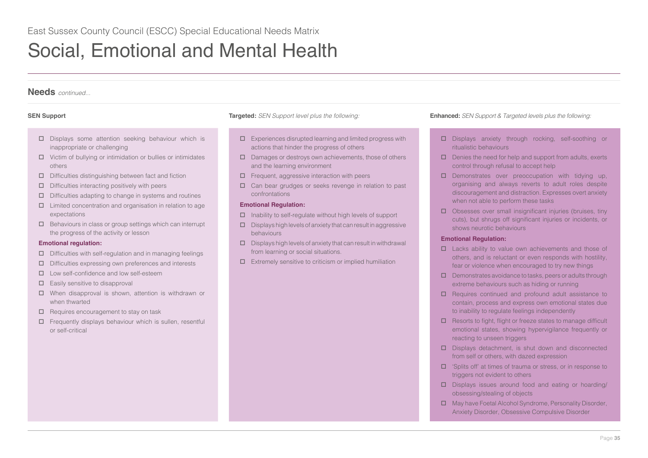# **Needs** *continued...*

- $\square$  Displays some attention seeking behaviour which is inappropriate or challenging
- $\Box$  Victim of bullying or intimidation or bullies or intimidates others
- $\square$  Difficulties distinguishing between fact and fiction
- $\square$  Difficulties interacting positively with peers
- $\Box$  Difficulties adapting to change in systems and routines
- $\Box$  Limited concentration and organisation in relation to age expectations
- $\Box$  Behaviours in class or group settings which can interrupt the progress of the activity or lesson

### **Emotional regulation:**

- $\Box$  Difficulties with self-regulation and in managing feelings
- $\square$  Difficulties expressing own preferences and interests
- Low self-confidence and low self-esteem
- $\Box$  Easily sensitive to disapproval
- When disapproval is shown, attention is withdrawn or when thwarted
- $\Box$  Requires encouragement to stay on task
- $\Box$  Frequently displays behaviour which is sullen, resentful or self-critical

- $\square$  Experiences disrupted learning and limited progress with actions that hinder the progress of others
- $\square$  Damages or destroys own achievements, those of others and the learning environment
- Frequent, aggressive interaction with peers
- □ Can bear grudges or seeks revenge in relation to past confrontations

### **Emotional Regulation:**

- $\Box$  Inability to self-regulate without high levels of support
- $\square$  Displays high levels of anxiety that can result in aggressive behaviours
- $\square$  Displays high levels of anxiety that can result in withdrawal from learning or social situations.
- $\Box$  Extremely sensitive to criticism or implied humiliation

## **SEN Support Targeted:** *SEN Support level plus the following:* **Enhanced:** *SEN Support & Targeted levels plus the following:*

- Displays anxiety through rocking, self-soothing or ritualistic behaviours
- $\Box$  Denies the need for help and support from adults, exerts control through refusal to accept help
- $\square$  Demonstrates over preoccupation with tidying up, organising and always reverts to adult roles despite discouragement and distraction. Expresses overt anxiety when not able to perform these tasks
- $\square$  Obsesses over small insignificant injuries (bruises, tiny cuts), but shrugs off significant injuries or incidents, or shows neurotic behaviours

### **Emotional Regulation:**

- Lacks ability to value own achievements and those of others, and is reluctant or even responds with hostility, fear or violence when encouraged to try new things
- $\square$  Demonstrates avoidance to tasks, peers or adults through extreme behaviours such as hiding or running
- $\Box$  Requires continued and profound adult assistance to contain, process and express own emotional states due to inability to regulate feelings independently
- $\square$  Resorts to fight, flight or freeze states to manage difficult emotional states, showing hypervigilance frequently or reacting to unseen triggers
- $\square$  Displays detachment, is shut down and disconnected from self or others, with dazed expression
- □ 'Splits off' at times of trauma or stress, or in response to triggers not evident to others
- $\square$  Displays issues around food and eating or hoarding/ obsessing/stealing of objects
- May have Foetal Alcohol Syndrome, Personality Disorder, Anxiety Disorder, Obsessive Compulsive Disorder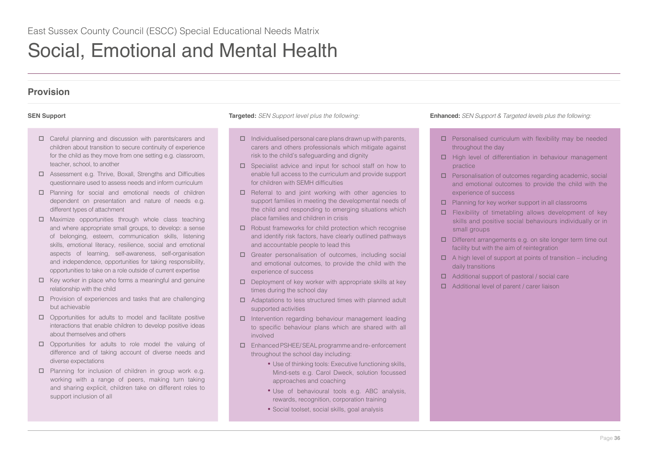# **Provision**

- Careful planning and discussion with parents/carers and children about transition to secure continuity of experience for the child as they move from one setting e.g. classroom, teacher, school, to another
- Assessment e.g. Thrive, Boxall, Strengths and Difficulties questionnaire used to assess needs and inform curriculum
- Planning for social and emotional needs of children dependent on presentation and nature of needs e.g. different types of attachment
- $\Box$  Maximize opportunities through whole class teaching and where appropriate small groups, to develop: a sense of belonging, esteem, communication skills, listening skills, emotional literacy, resilience, social and emotional aspects of learning, self-awareness, self-organisation and independence, opportunities for taking responsibility, opportunities to take on a role outside of current expertise
- $\Box$  Key worker in place who forms a meaningful and genuine relationship with the child
- $\square$  Provision of experiences and tasks that are challenging but achievable
- $\Box$  Opportunities for adults to model and facilitate positive interactions that enable children to develop positive ideas about themselves and others
- $\Box$  Opportunities for adults to role model the valuing of difference and of taking account of diverse needs and diverse expectations
- $\Box$  Planning for inclusion of children in group work e.g. working with a range of peers, making turn taking and sharing explicit, children take on different roles to support inclusion of all

- $\Box$  Individualised personal care plans drawn up with parents, carers and others professionals which mitigate against risk to the child's safeguarding and dignity
- $\square$  Specialist advice and input for school staff on how to enable full access to the curriculum and provide support for children with SEMH difficulties
- $\Box$  Referral to and joint working with other agencies to support families in meeting the developmental needs of the child and responding to emerging situations which place families and children in crisis
- $\Box$  Robust frameworks for child protection which recognise and identify risk factors, have clearly outlined pathways and accountable people to lead this
- Greater personalisation of outcomes, including social and emotional outcomes, to provide the child with the experience of success
- $\square$  Deployment of key worker with appropriate skills at key times during the school day
- □ Adaptations to less structured times with planned adult supported activities
- $\Box$  Intervention regarding behaviour management leading to specific behaviour plans which are shared with all involved
- Enhanced PSHEE/ SEAL programme and re- enforcement throughout the school day including:
	- Use of thinking tools: Executive functioning skills, Mind-sets e.g. Carol Dweck, solution focussed approaches and coaching
	- Use of behavioural tools e.g. ABC analysis, rewards, recognition, corporation training
	- Social toolset, social skills, goal analysis

- $\square$  Personalised curriculum with flexibility may be needed throughout the day
- $\Box$  High level of differentiation in behaviour management practice
- □ Personalisation of outcomes regarding academic, social and emotional outcomes to provide the child with the experience of success
- $\Box$  Planning for key worker support in all classrooms
- $\Box$  Flexibility of timetabling allows development of key skills and positive social behaviours individually or in small groups
- D Different arrangements e.g. on site longer term time out facility but with the aim of reintegration
- $\Box$  A high level of support at points of transition including daily transitions
- Additional support of pastoral / social care
- □ Additional level of parent / carer liaison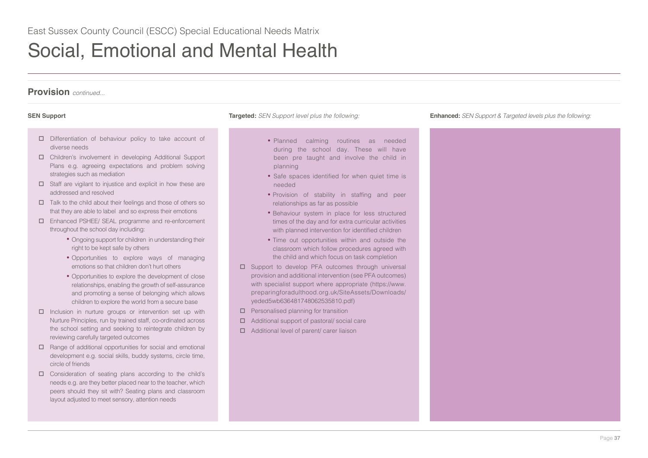# **Provision** *continued...*

- Differentiation of behaviour policy to take account of diverse needs
- Children's involvement in developing Additional Support Plans e.g. agreeing expectations and problem solving strategies such as mediation
- $\Box$  Staff are vigilant to injustice and explicit in how these are addressed and resolved
- $\Box$  Talk to the child about their feelings and those of others so that they are able to label and so express their emotions
- Enhanced PSHEE/ SEAL programme and re-enforcement throughout the school day including:
	- Ongoing support for children in understanding their right to be kept safe by others
	- Opportunities to explore ways of managing emotions so that children don't hurt others
	- Opportunities to explore the development of close relationships, enabling the growth of self-assurance and promoting a sense of belonging which allows children to explore the world from a secure base
- $\Box$  Inclusion in nurture groups or intervention set up with Nurture Principles, run by trained staff, co-ordinated across the school setting and seeking to reintegrate children by reviewing carefully targeted outcomes
- $\Box$  Range of additional opportunities for social and emotional development e.g. social skills, buddy systems, circle time, circle of friends
- Consideration of seating plans according to the child's needs e.g. are they better placed near to the teacher, which peers should they sit with? Seating plans and classroom layout adjusted to meet sensory, attention needs

- Planned calming routines as needed during the school day. These will have been pre taught and involve the child in planning
- Safe spaces identified for when quiet time is needed
- Provision of stability in staffing and peer relationships as far as possible
- Behaviour system in place for less structured times of the day and for extra curricular activities with planned intervention for identified children
- Time out opportunities within and outside the classroom which follow procedures agreed with the child and which focus on task completion
- □ Support to develop PFA outcomes through universal provision and additional intervention (see PFA outcomes) with specialist support where appropriate (https://www. preparingforadulthood.org.uk/SiteAssets/Downloads/ yeded5wb636481748062535810.pdf)
- $\Box$  Personalised planning for transition
- Additional support of pastoral/ social care
- Additional level of parent/ carer liaison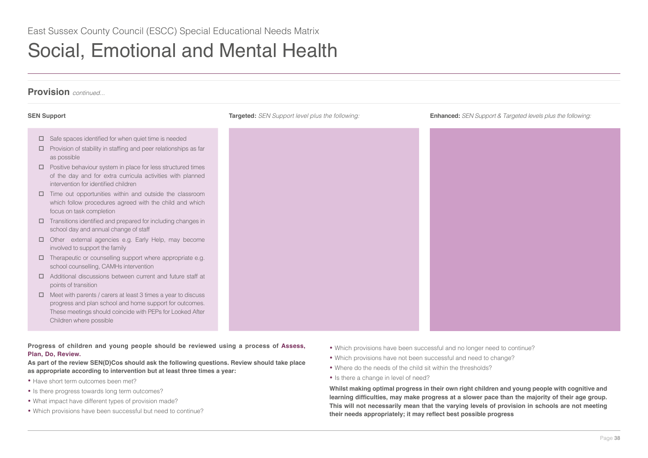# **Provision** *continued...*

- $\Box$  Safe spaces identified for when quiet time is needed
- $\square$  Provision of stability in staffing and peer relationships as far as possible
- $\square$  Positive behaviour system in place for less structured times of the day and for extra curricula activities with planned intervention for identified children
- $\square$  Time out opportunities within and outside the classroom which follow procedures agreed with the child and which focus on task completion
- $\Box$  Transitions identified and prepared for including changes in school day and annual change of staff
- Other external agencies e.g. Early Help, may become involved to support the family
- $\Box$  Therapeutic or counselling support where appropriate e.g. school counselling, CAMHs intervention
- Additional discussions between current and future staff at points of transition
- $\Box$  Meet with parents / carers at least 3 times a vear to discuss progress and plan school and home support for outcomes. These meetings should coincide with PEPs for Looked After Children where possible

**Progress of children and young people should be reviewed using a process of Assess, Plan, Do, Review.**

**As part of the review SEN(D)Cos should ask the following questions. Review should take place as appropriate according to intervention but at least three times a year:** 

- Have short term outcomes been met?
- Is there progress towards long term outcomes?
- What impact have different types of provision made?
- Which provisions have been successful but need to continue?

**SEN Support Targeted:** *SEN Support level plus the following:* **Enhanced:** *SEN Support & Targeted levels plus the following:*

- Which provisions have been successful and no longer need to continue?
- Which provisions have not been successful and need to change?
- Where do the needs of the child sit within the thresholds?
- Is there a change in level of need?

**Whilst making optimal progress in their own right children and young people with cognitive and learning difficulties, may make progress at a slower pace than the majority of their age group. This will not necessarily mean that the varying levels of provision in schools are not meeting their needs appropriately; it may reflect best possible progress**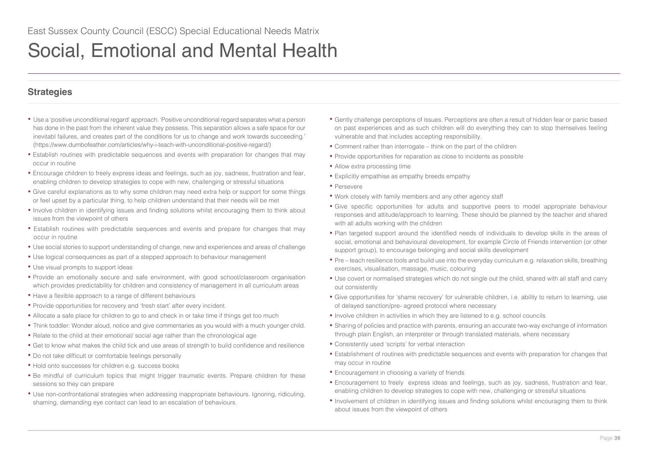# **Strategies**

- Use a 'positive unconditional regard' approach. 'Positive unconditional regard separates what a person has done in the past from the inherent value they possess. This separation allows a safe space for our inevitabl failures, and creates part of the conditions for us to change and work towards succeeding.' (https://www.dumbofeather.com/articles/why-i-teach-with-unconditional-positive-regard/)
- Establish routines with predictable sequences and events with preparation for changes that may occur in routine
- Encourage children to freely express ideas and feelings, such as joy, sadness, frustration and fear, enabling children to develop strategies to cope with new, challenging or stressful situations
- Give careful explanations as to why some children may need extra help or support for some things or feel upset by a particular thing, to help children understand that their needs will be met
- Involve children in identifying issues and finding solutions whilst encouraging them to think about issues from the viewpoint of others
- Establish routines with predictable sequences and events and prepare for changes that may occur in routine
- Use social stories to support understanding of change, new and experiences and areas of challenge
- Use logical consequences as part of a stepped approach to behaviour management
- Use visual prompts to support ideas
- Provide an emotionally secure and safe environment, with good school/classroom organisation which provides predictability for children and consistency of management in all curriculum areas
- Have a flexible approach to a range of different behaviours
- Provide opportunities for recovery and 'fresh start' after every incident.
- Allocate a safe place for children to go to and check in or take time if things get too much
- Think toddler: Wonder aloud, notice and give commentaries as you would with a much younger child.
- Relate to the child at their emotional/ social age rather than the chronological age
- Get to know what makes the child tick and use areas of strength to build confidence and resilience
- Do not take difficult or comfortable feelings personally
- Hold onto successes for children e.g. success books
- Be mindful of curriculum topics that might trigger traumatic events. Prepare children for these sessions so they can prepare
- Use non-confrontational strategies when addressing inappropriate behaviours. Ignoring, ridiculing, shaming, demanding eye contact can lead to an escalation of behaviours.
- Gently challenge perceptions of issues. Perceptions are often a result of hidden fear or panic based on past experiences and as such children will do everything they can to stop themselves feeling vulnerable and that includes accepting responsibility.
- Comment rather than interrogate think on the part of the children
- Provide opportunities for reparation as close to incidents as possible
- Allow extra processing time
- Explicitly empathise as empathy breeds empathy
- Persevere
- Work closely with family members and any other agency staff
- Give specific opportunities for adults and supportive peers to model appropriate behaviour responses and attitude/approach to learning. These should be planned by the teacher and shared with all adults working with the children
- Plan targeted support around the identified needs of individuals to develop skills in the areas of social, emotional and behavioural development, for example Circle of Friends intervention (or other support group), to encourage belonging and social skills development
- Pre teach resilience tools and build use into the everyday curriculum e.g. relaxation skills, breathing exercises, visualisation, massage, music, colouring
- Use covert or normalised strategies which do not single out the child, shared with all staff and carry out consistently
- Give opportunities for 'shame recovery' for vulnerable children, i.e. ability to return to learning, use of delayed sanction/pre- agreed protocol where necessary
- Involve children in activities in which they are listened to e.g. school councils
- Sharing of policies and practice with parents, ensuring an accurate two-way exchange of information through plain English, an interpreter or through translated materials, where necessary
- Consistently used 'scripts' for verbal interaction
- Establishment of routines with predictable sequences and events with preparation for changes that may occur in routine
- Encouragement in choosing a variety of friends
- Encouragement to freely express ideas and feelings, such as joy, sadness, frustration and fear, enabling children to develop strategies to cope with new, challenging or stressful situations
- Involvement of children in identifying issues and finding solutions whilst encouraging them to think about issues from the viewpoint of others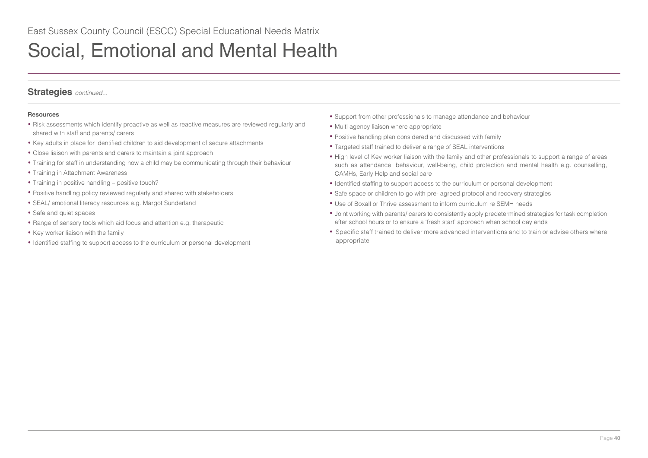# **Strategies** *continued...*

## **Resources**

- Risk assessments which identify proactive as well as reactive measures are reviewed regularly and shared with staff and parents/ carers
- Key adults in place for identified children to aid development of secure attachments
- Close liaison with parents and carers to maintain a joint approach
- Training for staff in understanding how a child may be communicating through their behaviour
- Training in Attachment Awareness
- Training in positive handling positive touch?
- Positive handling policy reviewed regularly and shared with stakeholders
- SEAL/ emotional literacy resources e.g. Margot Sunderland
- Safe and quiet spaces
- Range of sensory tools which aid focus and attention e.g. therapeutic
- Key worker liaison with the family
- Identified staffing to support access to the curriculum or personal development
- Support from other professionals to manage attendance and behaviour
- Multi agency liaison where appropriate
- Positive handling plan considered and discussed with family
- Targeted staff trained to deliver a range of SEAL interventions
- High level of Key worker liaison with the family and other professionals to support a range of areas such as attendance, behaviour, well-being, child protection and mental health e.g. counselling, CAMHs, Early Help and social care
- Identified staffing to support access to the curriculum or personal development
- Safe space or children to go with pre- agreed protocol and recovery strategies
- Use of Boxall or Thrive assessment to inform curriculum re SEMH needs
- Joint working with parents/ carers to consistently apply predetermined strategies for task completion after school hours or to ensure a 'fresh start' approach when school day ends
- Specific staff trained to deliver more advanced interventions and to train or advise others where appropriate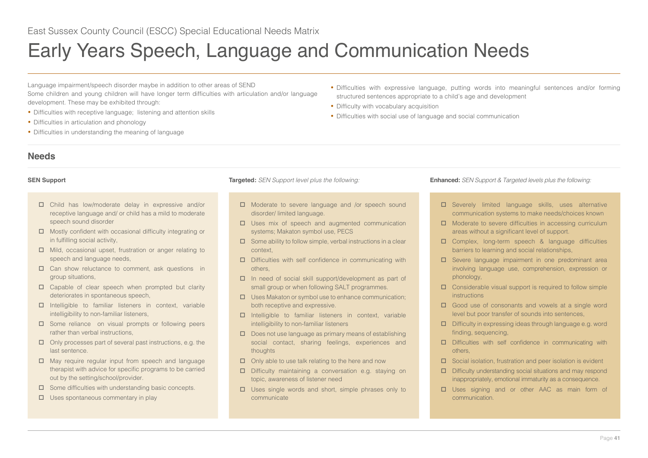<span id="page-40-0"></span>Language impairment/speech disorder maybe in addition to other areas of SEND Some children and young children will have longer term difficulties with articulation and/or language development. These may be exhibited through:

- Difficulties with receptive language; listening and attention skills
- Difficulties in articulation and phonology
- Difficulties in understanding the meaning of language
- Difficulties with expressive language, putting words into meaningful sentences and/or forming structured sentences appropriate to a child's age and development
- Difficulty with vocabulary acquisition
- Difficulties with social use of language and social communication

## **Needs**

- Child has low/moderate delay in expressive and/or receptive language and/ or child has a mild to moderate speech sound disorder
- $\Box$  Mostly confident with occasional difficulty integrating or in fulfilling social activity,
- $\Box$  Mild, occasional upset, frustration or anger relating to speech and language needs,
- $\square$  Can show reluctance to comment, ask questions in group situations,
- $\square$  Capable of clear speech when prompted but clarity deteriorates in spontaneous speech,
- $\Box$  Intelligible to familiar listeners in context, variable intelligibility to non-familiar listeners,
- $\square$  Some reliance on visual prompts or following peers rather than verbal instructions,
- $\Box$  Only processes part of several past instructions, e.g. the last sentence.
- $\Box$  May require regular input from speech and language therapist with advice for specific programs to be carried out by the setting/school/provider.
- $\square$  Some difficulties with understanding basic concepts.
- $\square$  Uses spontaneous commentary in play

- □ Moderate to severe language and /or speech sound disorder/ limited language.
- □ Uses mix of speech and augmented communication systems; Makaton symbol use, PECS
- $\square$  Some ability to follow simple, verbal instructions in a clear context,
- $\square$  Difficulties with self confidence in communicating with others,
- In need of social skill support/development as part of small group or when following SALT programmes.
- $\Box$  Uses Makaton or symbol use to enhance communication; both receptive and expressive.
- $\Box$  Intelligible to familiar listeners in context, variable intelligibility to non-familiar listeners
- $\square$  Does not use language as primary means of establishing social contact, sharing feelings, experiences and thoughts
- $\Box$  Only able to use talk relating to the here and now
- Difficulty maintaining a conversation e.g. staying on topic, awareness of listener need
- $\Box$  Uses single words and short, simple phrases only to communicate

- Severely limited language skills, uses alternative communication systems to make needs/choices known
- $\Box$  Moderate to severe difficulties in accessing curriculum areas without a significant level of support.
- Complex, long-term speech & language difficulties barriers to learning and social relationships,
- Severe language impairment in one predominant area involving language use, comprehension, expression or phonology,
- $\square$  Considerable visual support is required to follow simple instructions
- Good use of consonants and vowels at a single word level but poor transfer of sounds into sentences,
- Difficulty in expressing ideas through language e.g. word finding, sequencing,
- Difficulties with self confidence in communicating with others,
- $\square$  Social isolation, frustration and peer isolation is evident
- Difficulty understanding social situations and may respond inappropriately, emotional immaturity as a consequence.
- □ Uses signing and or other AAC as main form of communication.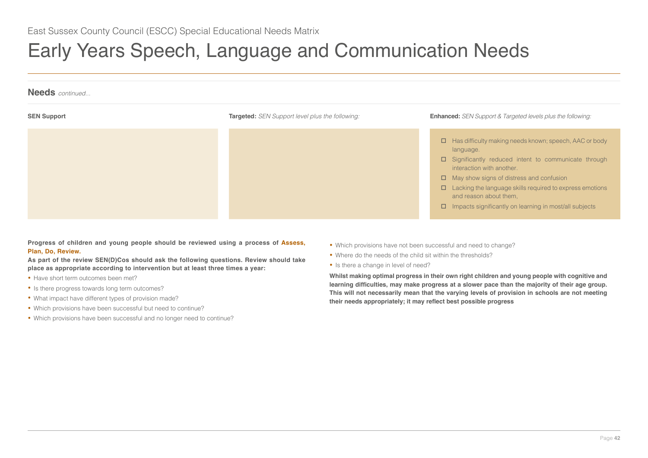

**Progress of children and young people should be reviewed using a process of Assess, Plan, Do, Review.**

**As part of the review SEN(D)Cos should ask the following questions. Review should take place as appropriate according to intervention but at least three times a year:** 

- Have short term outcomes been met?
- Is there progress towards long term outcomes?
- What impact have different types of provision made?
- Which provisions have been successful but need to continue?
- Which provisions have been successful and no longer need to continue?
- Which provisions have not been successful and need to change?
- Where do the needs of the child sit within the thresholds?
- Is there a change in level of need?

**Whilst making optimal progress in their own right children and young people with cognitive and learning difficulties, may make progress at a slower pace than the majority of their age group. This will not necessarily mean that the varying levels of provision in schools are not meeting their needs appropriately; it may reflect best possible progress**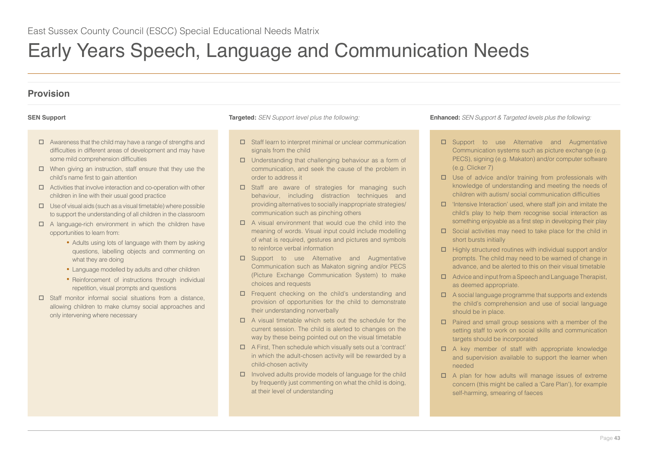# **Provision**

- $\Box$  Awareness that the child may have a range of strengths and difficulties in different areas of development and may have some mild comprehension difficulties
- $\Box$  When giving an instruction, staff ensure that they use the child's name first to gain attention
- $\Box$  Activities that involve interaction and co-operation with other children in line with their usual good practice
- $\Box$  Use of visual aids (such as a visual timetable) where possible to support the understanding of all children in the classroom
- $\Box$  A language-rich environment in which the children have opportunities to learn from:
	- Adults using lots of language with them by asking questions, labelling objects and commenting on what they are doing
	- Language modelled by adults and other children
	- Reinforcement of instructions through individual repetition, visual prompts and questions
- □ Staff monitor informal social situations from a distance, allowing children to make clumsy social approaches and only intervening where necessary

- $\Box$  Staff learn to interpret minimal or unclear communication signals from the child
- $\Box$  Understanding that challenging behaviour as a form of communication, and seek the cause of the problem in order to address it
- $\square$  Staff are aware of strategies for managing such behaviour, including distraction techniques and providing alternatives to socially inappropriate strategies/ communication such as pinching others
- $\Pi$  A visual environment that would cue the child into the meaning of words. Visual input could include modelling of what is required, gestures and pictures and symbols to reinforce verbal information
- □ Support to use Alternative and Augmentative Communication such as Makaton signing and/or PECS (Picture Exchange Communication System) to make choices and requests
- □ Frequent checking on the child's understanding and provision of opportunities for the child to demonstrate their understanding nonverbally
- $\Box$  A visual timetable which sets out the schedule for the current session. The child is alerted to changes on the way by these being pointed out on the visual timetable
- $\Box$  A First, Then schedule which visually sets out a 'contract' in which the adult-chosen activity will be rewarded by a child-chosen activity
- $\Box$  Involved adults provide models of language for the child by frequently just commenting on what the child is doing, at their level of understanding

- □ Support to use Alternative and Augmentative Communication systems such as picture exchange (e.g. PECS), signing (e.g. Makaton) and/or computer software (e.g. Clicker 7)
- $\square$  Use of advice and/or training from professionals with knowledge of understanding and meeting the needs of children with autism/ social communication difficulties
- $\Box$  'Intensive Interaction' used, where staff join and imitate the child's play to help them recognise social interaction as something enjoyable as a first step in developing their play
- $\square$  Social activities may need to take place for the child in short bursts initially
- $\Box$  Highly structured routines with individual support and/or prompts. The child may need to be warned of change in advance, and be alerted to this on their visual timetable
- $\Box$  Advice and input from a Speech and Language Therapist, as deemed appropriate.
- $\Box$  A social language programme that supports and extends the child's comprehension and use of social language should be in place.
- $\Box$  Paired and small group sessions with a member of the setting staff to work on social skills and communication targets should be incorporated
- $\Box$  A key member of staff with appropriate knowledge and supervision available to support the learner when needed
- $\Box$  A plan for how adults will manage issues of extreme concern (this might be called a 'Care Plan'), for example self-harming, smearing of faeces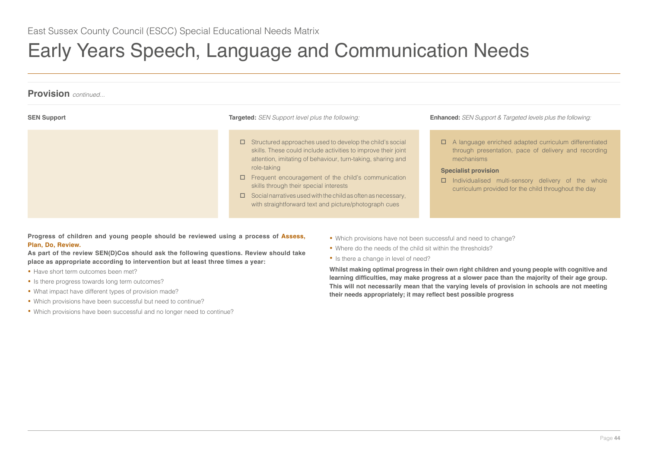

**Progress of children and young people should be reviewed using a process of Assess, Plan, Do, Review.**

**As part of the review SEN(D)Cos should ask the following questions. Review should take place as appropriate according to intervention but at least three times a year:** 

- Have short term outcomes been met?
- Is there progress towards long term outcomes?
- What impact have different types of provision made?
- Which provisions have been successful but need to continue?
- Which provisions have been successful and no longer need to continue?
- Which provisions have not been successful and need to change?
- Where do the needs of the child sit within the thresholds?
- Is there a change in level of need?

**Whilst making optimal progress in their own right children and young people with cognitive and learning difficulties, may make progress at a slower pace than the majority of their age group. This will not necessarily mean that the varying levels of provision in schools are not meeting their needs appropriately; it may reflect best possible progress**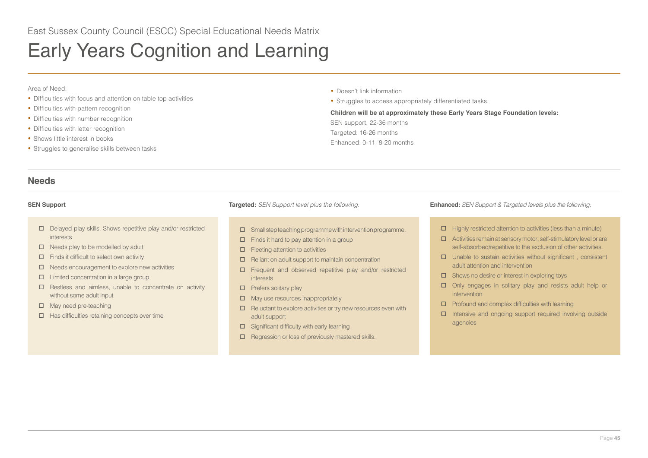# <span id="page-44-0"></span>Early Years Cognition and Learning

### Area of Need:

- Difficulties with focus and attention on table top activities
- Difficulties with pattern recognition
- Difficulties with number recognition
- Difficulties with letter recognition
- Shows little interest in books
- Struggles to generalise skills between tasks

**•** Doesn't link information

**•** Struggles to access appropriately differentiated tasks.

## **Children will be at approximately these Early Years Stage Foundation levels:**

SEN support: 22-36 months Targeted: 16-26 months Enhanced: 0-11, 8-20 months

# **Needs**

- Delayed play skills. Shows repetitive play and/or restricted interests
- $\Box$  Needs play to be modelled by adult
- $\Box$  Finds it difficult to select own activity
- $\Box$  Needs encouragement to explore new activities
- $\Box$  Limited concentration in a large group
- $\Box$  Restless and aimless, unable to concentrate on activity without some adult input
- $\Box$  May need pre-teaching
- $\Box$  Has difficulties retaining concepts over time

- $\square$  Small step teaching programme with intervention programme.
- $\Box$  Finds it hard to pay attention in a group
- $\Box$  Fleeting attention to activities
- $\Box$  Reliant on adult support to maintain concentration
- Frequent and observed repetitive play and/or restricted interests
- $\Box$  Prefers solitary play
- $\Box$  May use resources inappropriately
- $\square$  Reluctant to explore activities or try new resources even with adult support
- $\square$  Significant difficulty with early learning
- $\Box$  Regression or loss of previously mastered skills.

- $\Box$  Highly restricted attention to activities (less than a minute)
- $\Box$  Activities remain at sensory motor, self-stimulatory level or are self-absorbed/repetitive to the exclusion of other activities.
- $\square$  Unable to sustain activities without significant, consistent adult attention and intervention
- $\square$  Shows no desire or interest in exploring toys
- $\square$  Only engages in solitary play and resists adult help or intervention
- $\Box$  Profound and complex difficulties with learning
- $\Box$  Intensive and ongoing support required involving outside agencies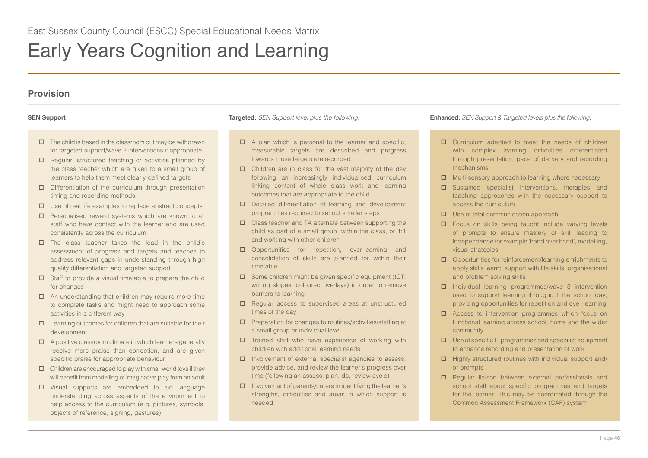# Early Years Cognition and Learning

# **Provision**

- $\Box$  The child is based in the classroom but may be withdrawn for targeted support/wave 2 interventions if appropriate.
- $\Box$  Regular, structured teaching or activities planned by the class teacher which are given to a small group of learners to help them meet clearly-defined targets
- $\square$  Differentiation of the curriculum through presentation timing and recording methods
- $\Box$  Use of real life examples to replace abstract concepts
- $\Box$  Personalised reward systems which are known to all staff who have contact with the learner and are used consistently across the curriculum
- $\square$  The class teacher takes the lead in the child's assessment of progress and targets and teaches to address relevant gaps in understanding through high quality differentiation and targeted support
- $\square$  Staff to provide a visual timetable to prepare the child for changes
- $\Box$  An understanding that children may require more time to complete tasks and might need to approach some activities in a different way
- $\Box$  Learning outcomes for children that are suitable for their development
- $\Box$  A positive classroom climate in which learners generally receive more praise than correction, and are given specific praise for appropriate behaviour
- $\Box$  Children are encouraged to play with small world toys if they will benefit from modelling of imaginative play from an adult
- Visual supports are embedded to aid language understanding across aspects of the environment to help access to the curriculum (e.g. pictures, symbols, objects of reference, signing, gestures)

- $\Box$  A plan which is personal to the learner and specific, measurable targets are described and progress towards those targets are recorded
- $\Box$  Children are in class for the vast majority of the day following an increasingly individualised curriculum linking content of whole class work and learning outcomes that are appropriate to the child
- □ Detailed differentiation of learning and development programmes required to set out smaller steps
- Class teacher and TA alternate between supporting the child as part of a small group, within the class, or 1:1 and working with other children
- D Opportunities for repetition, over-learning and consolidation of skills are planned for within their timetable
- $\square$  Some children might be given specific equipment (ICT, writing slopes, coloured overlays) in order to remove barriers to learning
- $\Box$  Regular access to supervised areas at unstructured times of the day
- $\square$  Preparation for changes to routines/activities/staffing at a small group or individual level
- $\square$  Trained staff who have experience of working with children with additional learning needs
- $\Box$  Involvement of external specialist agencies to assess, provide advice, and review the learner's progress over time (following an assess, plan, do, review cycle)
- $\square$  Involvement of parents/carers in identifying the learner's strengths, difficulties and areas in which support is needed

- □ Curriculum adapted to meet the needs of children with complex learning difficulties differentiated through presentation, pace of delivery and recording mechanisms
- $\Box$  Multi-sensory approach to learning where necessary
- $\square$  Sustained specialist interventions, therapies and teaching approaches with the necessary support to access the curriculum
- $\Box$  Use of total communication approach
- $\square$  Focus on skills being taught include varying levels of prompts to ensure mastery of skill leading to independence for example 'hand over hand', modelling, visual strategies
- Opportunities for reinforcement/learning enrichments to apply skills learnt, support with life skills, organisational and problem solving skills
- $\square$  Individual learning programmes/wave 3 intervention used to support learning throughout the school day, providing opportunities for repetition and over-learning
- □ Access to intervention programmes which focus on functional learning across school, home and the wider community
- $\Box$  Use of specific IT programmes and specialist equipment to enhance recording and presentation of work
- $\Box$  Highly structured routines with individual support and/ or prompts
- $\Box$  Regular liaison between external professionals and school staff about specific programmes and targets for the learner. This may be coordinated through the Common Assessment Framework (CAF) system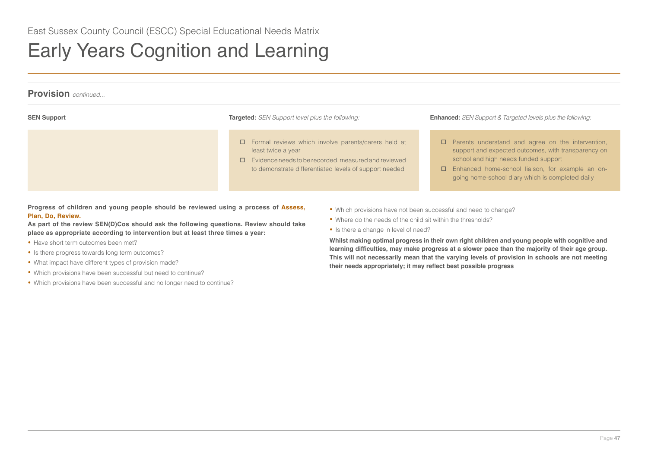# Early Years Cognition and Learning

| <b>Provision</b> continued |                                                                                                                                                                                                           |                                                                                                                                                                                                                                                                 |  |
|----------------------------|-----------------------------------------------------------------------------------------------------------------------------------------------------------------------------------------------------------|-----------------------------------------------------------------------------------------------------------------------------------------------------------------------------------------------------------------------------------------------------------------|--|
| <b>SEN Support</b>         | <b>Targeted:</b> SEN Support level plus the following:                                                                                                                                                    | <b>Enhanced:</b> SEN Support & Targeted levels plus the following:                                                                                                                                                                                              |  |
|                            | $\Box$ Formal reviews which involve parents/carers held at<br>least twice a year<br>$\Box$ Evidence needs to be recorded, measured and reviewed<br>to demonstrate differentiated levels of support needed | $\Box$ Parents understand and agree on the intervention,<br>support and expected outcomes, with transparency on<br>school and high needs funded support<br>Enhanced home-school liaison, for example an on-<br>going home-school diary which is completed daily |  |

**Progress of children and young people should be reviewed using a process of Assess, Plan, Do, Review.**

**As part of the review SEN(D)Cos should ask the following questions. Review should take place as appropriate according to intervention but at least three times a year:** 

- Have short term outcomes been met?
- Is there progress towards long term outcomes?
- What impact have different types of provision made?
- Which provisions have been successful but need to continue?
- Which provisions have been successful and no longer need to continue?
- Which provisions have not been successful and need to change?
- Where do the needs of the child sit within the thresholds?
- Is there a change in level of need?

**Whilst making optimal progress in their own right children and young people with cognitive and learning difficulties, may make progress at a slower pace than the majority of their age group. This will not necessarily mean that the varying levels of provision in schools are not meeting their needs appropriately; it may reflect best possible progress**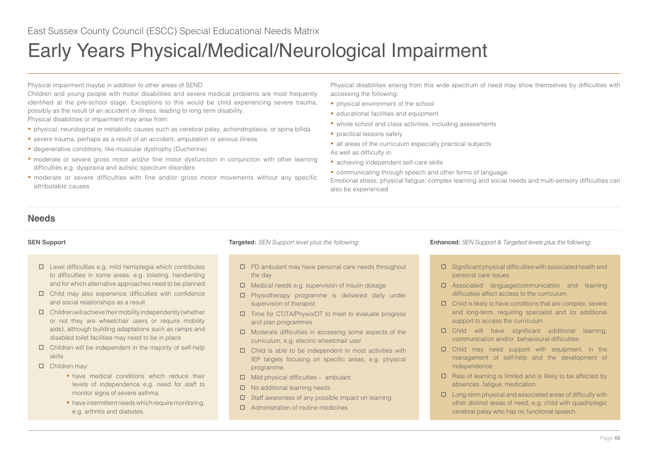<span id="page-47-0"></span>Physical impairment maybe in addition to other areas of SEND

Children and young people with motor disabilities and severe medical problems are most frequently identified at the pre-school stage. Exceptions to this would be child experiencing severe trauma, possibly as the result of an accident or illness, leading to long term disability.

Physical disabilities or impairment may arise from:

- physical, neurological or metabolic causes such as cerebral palsy, achondroplasia, or spina bifida
- severe trauma, perhaps as a result of an accident, amputation or serious illness
- degenerative conditions, like muscular dystrophy (Duchenne)
- moderate or severe gross motor and/or fine motor dysfunction in conjunction with other learning difficulties e.g. dyspraxia and autistic spectrum disorders
- moderate or severe difficulties with fine and/or gross motor movements without any specific attributable causes

Physical disabilities arising from this wide spectrum of need may show themselves by difficulties with accessing the following:

- physical environment of the school
- educational facilities and equipment
- whole school and class activities, including assessments
- practical lessons safely
- all areas of the curriculum especially practical subjects

As well as difficulty in:

- achieving independent self-care skills
- communicating through speech and other forms of language.

Emotional stress, physical fatigue, complex learning and social needs and multi-sensory difficulties can also be experienced

# **Needs**

- $\square$  Level difficulties e.g. mild hemiplegia which contributes to difficulties in some areas, e.g. toileting, handwriting and for which alternative approaches need to be planned
- $\Box$  Child may also experience difficulties with confidence and social relationships as a result
- $\Box$  Children will achieve their mobility independently (whether or not they are wheelchair users or require mobility aids), although building adaptations such as ramps and disabled toilet facilities may need to be in place
- $\Box$  Children will be independent in the majority of self-help skills
- □ Children may:
	- have medical conditions which reduce their levels of independence e.g. need for staff to monitor signs of severe asthma.
	- have intermittent needs which require monitoring, e.g. arthritis and diabetes.

- $\square$  PD ambulant may have personal care needs throughout the day
- $\Box$  Medical needs e.g. supervision of insulin dosage
- Physiotherapy programme is delivered daily under supervision of therapist
- Time for CT/TA/Physio/OT to meet to evaluate progress and plan programmes
- $\Box$  Moderate difficulties in accessing some aspects of the curriculum, e.g. electric wheelchair user
- $\square$  Child is able to be independent in most activities with IEP targets focusing on specific areas, e.g. physical programme.
- $\Box$  Mild physical difficulties ambulant
- $\Box$  No additional learning needs
- $\square$  Staff awareness of any possible impact on learning
- □ Administration of routine medicines

- $\square$  Significant physical difficulties with associated health and personal care issues
- Associated language/communication and learning difficulties affect access to the curriculum
- $\Box$  Child is likely to have conditions that are complex, severe and long-term, requiring specialist and /or additional support to access the curriculum
- Child will have significant additional learning, communication and/or behavioural difficulties
- $\square$  Child may need support with equipment, in the management of self-help and the development of independence
- $\Box$  Rate of learning is limited and is likely to be affected by absences, fatigue, medication
- $\square$  Long-term physical and associated areas of difficulty with other distinct areas of need, e.g. child with quadriplegic cerebral palsy who has no functional speech.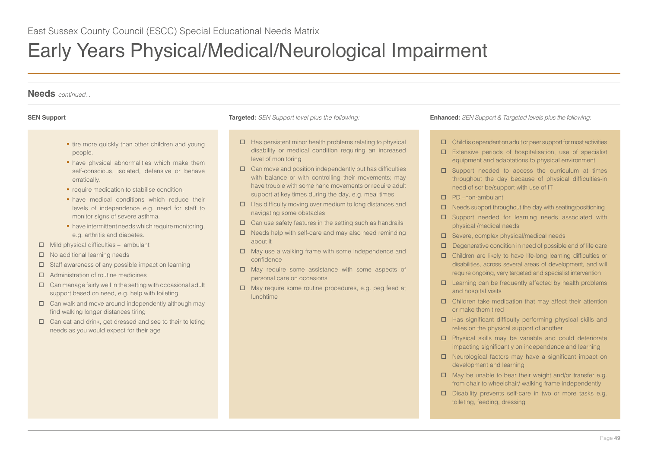

- tire more quickly than other children and young people.
- have physical abnormalities which make them self-conscious, isolated, defensive or behave erratically.
- require medication to stabilise condition.
- have medical conditions which reduce their levels of independence e.g. need for staff to monitor signs of severe asthma.
- have intermittent needs which require monitoring, e.g. arthritis and diabetes.
- $\Box$  Mild physical difficulties ambulant
- $\Box$  No additional learning needs
- $\square$  Staff awareness of any possible impact on learning
- $\Box$  Administration of routine medicines
- $\Box$  Can manage fairly well in the setting with occasional adult support based on need, e.g. help with toileting
- $\Box$  Can walk and move around independently although may find walking longer distances tiring
- $\Box$  Can eat and drink, get dressed and see to their toileting needs as you would expect for their age

- $\Box$  Has persistent minor health problems relating to physical disability or medical condition requiring an increased level of monitoring
- $\Box$  Can move and position independently but has difficulties with balance or with controlling their movements; may have trouble with some hand movements or require adult support at key times during the day, e.g. meal times
- $\Box$  Has difficulty moving over medium to long distances and navigating some obstacles
- $\Box$  Can use safety features in the setting such as handrails
- $\Box$  Needs help with self-care and may also need reminding about it
- $\Box$  May use a walking frame with some independence and confidence
- May require some assistance with some aspects of personal care on occasions
- $\Box$  May require some routine procedures, e.g. peg feed at lunchtime

- $\Box$  Child is dependent on adult or peer support for most activities
- Extensive periods of hospitalisation, use of specialist equipment and adaptations to physical environment
- $\square$  Support needed to access the curriculum at times throughout the day because of physical difficulties-in need of scribe/support with use of IT
- PD –non-ambulant
- $\Box$  Needs support throughout the day with seating/positioning
- $\square$  Support needed for learning needs associated with physical /medical needs
- $\square$  Severe, complex physical/medical needs
- $\Box$  Degenerative condition in need of possible end of life care
- Children are likely to have life-long learning difficulties or disabilities, across several areas of development, and will require ongoing, very targeted and specialist intervention
- $\Box$  Learning can be frequently affected by health problems and hospital visits
- $\Box$  Children take medication that may affect their attention or make them tired
- $\Box$  Has significant difficulty performing physical skills and relies on the physical support of another
- $\Box$  Physical skills may be variable and could deteriorate impacting significantly on independence and learning
- □ Neurological factors may have a significant impact on development and learning
- $\Box$  May be unable to bear their weight and/or transfer e.g. from chair to wheelchair/ walking frame independently
- $\square$  Disability prevents self-care in two or more tasks e.g. toileting, feeding, dressing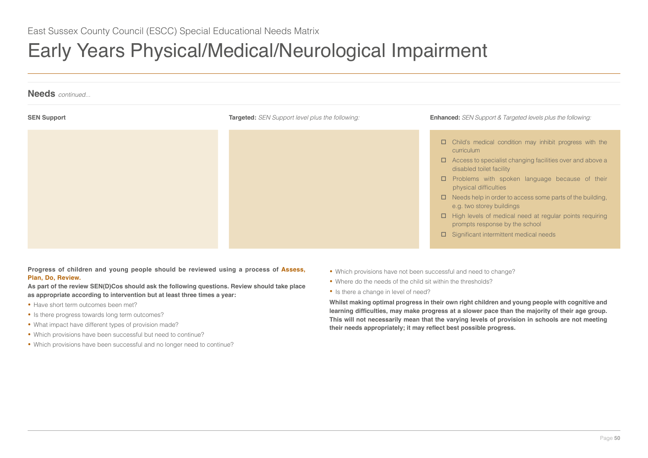

**Progress of children and young people should be reviewed using a process of Assess, Plan, Do, Review.**

**As part of the review SEN(D)Cos should ask the following questions. Review should take place as appropriate according to intervention but at least three times a year:** 

- Have short term outcomes been met?
- Is there progress towards long term outcomes?
- What impact have different types of provision made?
- Which provisions have been successful but need to continue?
- Which provisions have been successful and no longer need to continue?
- Which provisions have not been successful and need to change?
- Where do the needs of the child sit within the thresholds?
- Is there a change in level of need?

**Whilst making optimal progress in their own right children and young people with cognitive and learning difficulties, may make progress at a slower pace than the majority of their age group. This will not necessarily mean that the varying levels of provision in schools are not meeting their needs appropriately; it may reflect best possible progress.**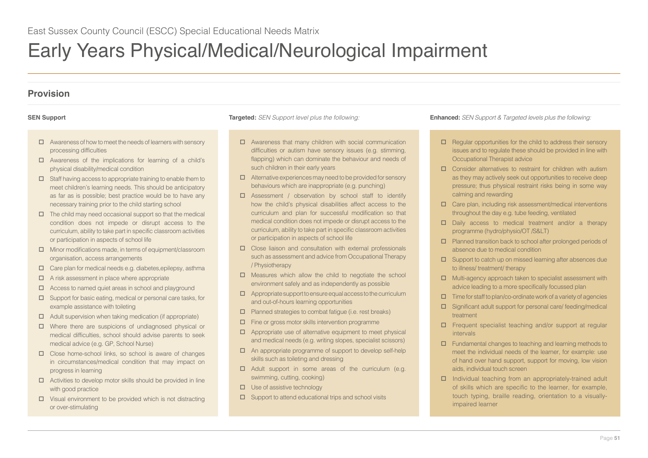# **Provision**

- $\Box$  Awareness of how to meet the needs of learners with sensory processing difficulties
- $\Box$  Awareness of the implications for learning of a child's physical disability/medical condition
- $\square$  Staff having access to appropriate training to enable them to meet children's learning needs. This should be anticipatory as far as is possible; best practice would be to have any necessary training prior to the child starting school
- $\Box$  The child may need occasional support so that the medical condition does not impede or disrupt access to the curriculum, ability to take part in specific classroom activities or participation in aspects of school life
- $\Box$  Minor modifications made, in terms of equipment/classroom organisation, access arrangements
- $\Box$  Care plan for medical needs e.g. diabetes, epilepsy, asthma
- $\Box$  A risk assessment in place where appropriate
- $\Box$  Access to named quiet areas in school and playground
- $\square$  Support for basic eating, medical or personal care tasks, for example assistance with toileting
- $\Box$  Adult supervision when taking medication (if appropriate)
- Where there are suspicions of undiagnosed physical or medical difficulties, school should advise parents to seek medical advice (e.g. GP, School Nurse)
- $\Box$  Close home-school links, so school is aware of changes in circumstances/medical condition that may impact on progress in learning
- $\Box$  Activities to develop motor skills should be provided in line with good practice
- $\square$  Visual environment to be provided which is not distracting or over-stimulating

- $\Box$  Awareness that many children with social communication difficulties or autism have sensory issues (e.g. stimming, flapping) which can dominate the behaviour and needs of such children in their early years
- $\Box$  Alternative experiences may need to be provided for sensory behaviours which are inappropriate (e.g. punching)
- Assessment / observation by school staff to identify how the child's physical disabilities affect access to the curriculum and plan for successful modification so that medical condition does not impede or disrupt access to the curriculum, ability to take part in specific classroom activities or participation in aspects of school life
- $\Box$  Close liaison and consultation with external professionals such as assessment and advice from Occupational Therapy / Physiotherapy
- $\Box$  Measures which allow the child to negotiate the school environment safely and as independently as possible
- $\Box$  Appropriate support to ensure equal access to the curriculum and out-of-hours learning opportunities
- $\Box$  Planned strategies to combat fatigue (i.e. rest breaks)
- $\Box$  Fine or gross motor skills intervention programme
- $\Box$  Appropriate use of alternative equipment to meet physical and medical needs (e.g. writing slopes, specialist scissors)
- An appropriate programme of support to develop self-help skills such as toileting and dressing
- $\Box$  Adult support in some areas of the curriculum (e.g. swimming, cutting, cooking)
- $\square$  Use of assistive technology
- $\square$  Support to attend educational trips and school visits

- $\Box$  Regular opportunities for the child to address their sensory issues and to regulate these should be provided in line with Occupational Therapist advice
- $\square$  Consider alternatives to restraint for children with autism as they may actively seek out opportunities to receive deep pressure; thus physical restraint risks being in some way calming and rewarding
- $\Box$  Care plan, including risk assessment/medical interventions throughout the day e.g. tube feeding, ventilated
- $\square$  Daily access to medical treatment and/or a therapy programme (hydro/physio/OT /S&LT)
- $\n **Pl**\n Planned transition back to school after prolonged periods of$ absence due to medical condition
- $\square$  Support to catch up on missed learning after absences due to illness/ treatment/ therapy
- $\Box$  Multi-agency approach taken to specialist assessment with advice leading to a more specifically focussed plan
- $\Box$  Time for staff to plan/co-ordinate work of a variety of agencies
- Significant adult support for personal care/ feeding/medical treatment
- □ Frequent specialist teaching and/or support at regular intervals
- $\Box$  Fundamental changes to teaching and learning methods to meet the individual needs of the learner, for example: use of hand over hand support, support for moving, low vision aids, individual touch screen
- $\Box$  Individual teaching from an appropriately-trained adult of skills which are specific to the learner, for example, touch typing, braille reading, orientation to a visuallyimpaired learner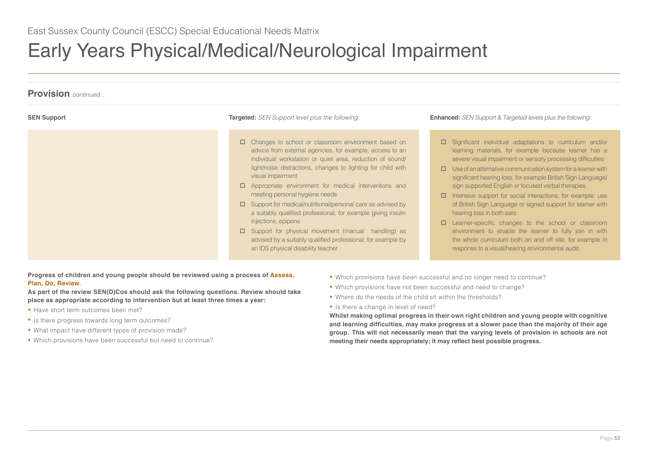

**Progress of children and young people should be reviewed using a process of Assess, Plan, Do, Review.**

**As part of the review SEN(D)Cos should ask the following questions. Review should take place as appropriate according to intervention but at least three times a year:**

- Have short term outcomes been met?
- Is there progress towards long term outcomes?
- What impact have different types of provision made?
- Which provisions have been successful but need to continue?
- Which provisions have been successful and no longer need to continue?
- Which provisions have not been successful and need to change?
- Where do the needs of the child sit within the thresholds?
- Is there a change in level of need?

**Whilst making optimal progress in their own right children and young people with cognitive and learning difficulties, may make progress at a slower pace than the majority of their age group. This will not necessarily mean that the varying levels of provision in schools are not meeting their needs appropriately; it may reflect best possible progress.**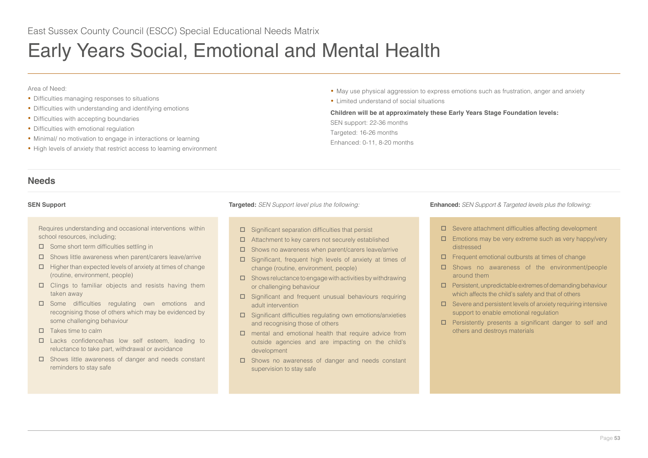# <span id="page-52-0"></span>Early Years Social, Emotional and Mental Health

## Area of Need:

- Difficulties managing responses to situations
- Difficulties with understanding and identifying emotions
- Difficulties with accepting boundaries
- Difficulties with emotional regulation
- Minimal/ no motivation to engage in interactions or learning
- High levels of anxiety that restrict access to learning environment
- May use physical aggression to express emotions such as frustration, anger and anxiety
- Limited understand of social situations

## **Children will be at approximately these Early Years Stage Foundation levels:**

SEN support: 22-36 months Targeted: 16-26 months Enhanced: 0-11, 8-20 months

# **Needs**

Requires understanding and occasional interventions within school resources, including;

- $\square$  Some short term difficulties settling in
- $\square$  Shows little awareness when parent/carers leave/arrive
- $\Box$  Higher than expected levels of anxiety at times of change (routine, environment, people)
- $\square$  Clings to familiar objects and resists having them taken away
- □ Some difficulties regulating own emotions and recognising those of others which may be evidenced by some challenging behaviour
- $\Pi$  Takes time to calm
- □ Lacks confidence/has low self esteem, leading to reluctance to take part, withdrawal or avoidance
- $\square$  Shows little awareness of danger and needs constant reminders to stay safe

- $\square$  Significant separation difficulties that persist
- $\Box$  Attachment to key carers not securely established
- $\square$  Shows no awareness when parent/carers leave/arrive
- □ Significant, frequent high levels of anxiety at times of change (routine, environment, people)
- $\square$  Shows reluctance to engage with activities by withdrawing or challenging behaviour
- □ Significant and frequent unusual behaviours requiring adult intervention
- $\square$  Significant difficulties regulating own emotions/anxieties and recognising those of others
- mental and emotional health that require advice from outside agencies and are impacting on the child's development
- □ Shows no awareness of danger and needs constant supervision to stay safe

- Severe attachment difficulties affecting development
- $\Box$  Emotions may be very extreme such as very happy/very distressed
- $\Box$  Frequent emotional outbursts at times of change
- □ Shows no awareness of the environment/people around them
- $\square$  Persistent, unpredictable extremes of demanding behaviour which affects the child's safety and that of others
- $\square$  Severe and persistent levels of anxiety requiring intensive support to enable emotional regulation
- $\square$  Persistently presents a significant danger to self and others and destroys materials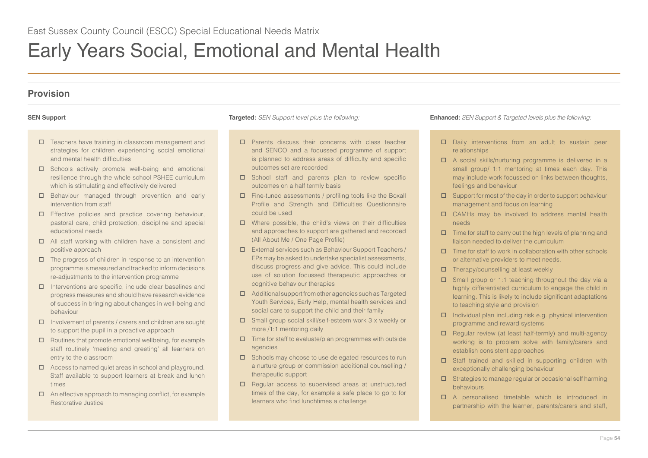# Early Years Social, Emotional and Mental Health

# **Provision**

- Teachers have training in classroom management and strategies for children experiencing social emotional and mental health difficulties
- $\square$  Schools actively promote well-being and emotional resilience through the whole school PSHEE curriculum which is stimulating and effectively delivered
- $\Box$  Behaviour managed through prevention and early intervention from staff
- Effective policies and practice covering behaviour, pastoral care, child protection, discipline and special educational needs
- All staff working with children have a consistent and positive approach
- $\Box$  The progress of children in response to an intervention programme is measured and tracked to inform decisions re-adjustments to the intervention programme
- $\Box$  Interventions are specific, include clear baselines and progress measures and should have research evidence of success in bringing about changes in well-being and behaviour
- $\Box$  Involvement of parents / carers and children are sought to support the pupil in a proactive approach
- $\Box$  Routines that promote emotional wellbeing, for example staff routinely 'meeting and greeting' all learners on entry to the classroom
- □ Access to named quiet areas in school and playground. Staff available to support learners at break and lunch times
- $\Box$  An effective approach to managing conflict, for example Restorative Justice

- □ Parents discuss their concerns with class teacher and SENCO and a focussed programme of support is planned to address areas of difficulty and specific outcomes set are recorded
- □ School staff and parents plan to review specific outcomes on a half termly basis
- Fine-tuned assessments / profiling tools like the Boxall Profile and Strength and Difficulties Questionnaire could be used
- $\Box$  Where possible, the child's views on their difficulties and approaches to support are gathered and recorded (All About Me / One Page Profile)
- External services such as Behaviour Support Teachers / EPs may be asked to undertake specialist assessments, discuss progress and give advice. This could include use of solution focussed therapeutic approaches or cognitive behaviour therapies
- $\Box$  Additional support from other agencies such as Targeted Youth Services, Early Help, mental health services and social care to support the child and their family
- Small group social skill/self-esteem work 3 x weekly or more /1:1 mentoring daily
- $\square$  Time for staff to evaluate/plan programmes with outside agencies
- $\square$  Schools may choose to use delegated resources to run a nurture group or commission additional counselling / therapeutic support
- $\Box$  Regular access to supervised areas at unstructured times of the day, for example a safe place to go to for learners who find lunchtimes a challenge

- $\square$  Daily interventions from an adult to sustain peer relationships
- A social skills/nurturing programme is delivered in a small group/ 1:1 mentoring at times each day. This may include work focussed on links between thoughts, feelings and behaviour
- $\square$  Support for most of the day in order to support behaviour management and focus on learning
- CAMHs may be involved to address mental health needs
- $\Box$  Time for staff to carry out the high levels of planning and liaison needed to deliver the curriculum
- $\Box$  Time for staff to work in collaboration with other schools or alternative providers to meet needs.
- $\Box$  Therapy/counselling at least weekly
- $\square$  Small group or 1:1 teaching throughout the day via a highly differentiated curriculum to engage the child in learning. This is likely to include significant adaptations to teaching style and provision
- $\Box$  Individual plan including risk e.g. physical intervention programme and reward systems
- $\Box$  Regular review (at least half-termly) and multi-agency working is to problem solve with family/carers and establish consistent approaches
- □ Staff trained and skilled in supporting children with exceptionally challenging behaviour
- $\square$  Strategies to manage regular or occasional self harming behaviours
- A personalised timetable which is introduced in partnership with the learner, parents/carers and staff,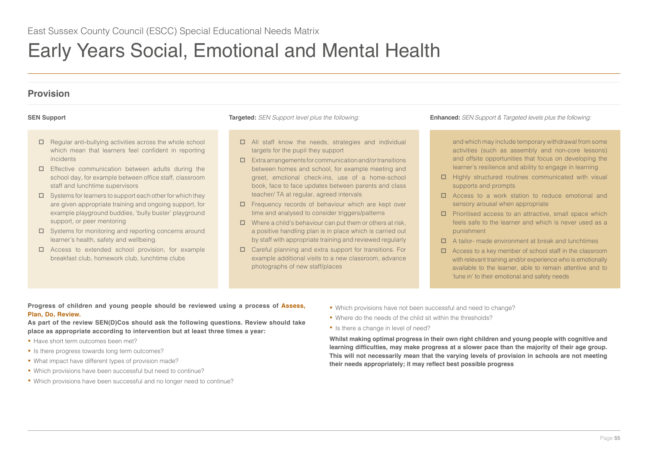# Early Years Social, Emotional and Mental Health

# **Provision**

- $\Box$  Regular anti-bullying activities across the whole school which mean that learners feel confident in reporting incidents
- $\square$  Effective communication between adults during the school day, for example between office staff, classroom staff and lunchtime supervisors
- $\square$  Systems for learners to support each other for which they are given appropriate training and ongoing support, for example playground buddies, 'bully buster' playground support, or peer mentoring
- □ Systems for monitoring and reporting concerns around learner's health, safety and wellbeing.
- □ Access to extended school provision, for example breakfast club, homework club, lunchtime clubs

- All staff know the needs, strategies and individual targets for the pupil they support
- $\square$  Extra arrangements for communication and/or transitions between homes and school, for example meeting and greet, emotional check-ins, use of a home-school book, face to face updates between parents and class teacher/ TA at regular, agreed intervals
- $\Box$  Frequency records of behaviour which are kept over time and analysed to consider triggers/patterns
- $\Box$  Where a child's behaviour can put them or others at risk. a positive handling plan is in place which is carried out by staff with appropriate training and reviewed regularly
- Careful planning and extra support for transitions. For example additional visits to a new classroom, advance photographs of new staff/places

**SEN Support Targeted:** *SEN Support level plus the following:* **Enhanced:** *SEN Support & Targeted levels plus the following:*

and which may include temporary withdrawal from some activities (such as assembly and non-core lessons) and offsite opportunities that focus on developing the learner's resilience and ability to engage in learning

- $\Box$  Highly structured routines communicated with visual supports and prompts
- □ Access to a work station to reduce emotional and sensory arousal when appropriate
- $\square$  Prioritised access to an attractive, small space which feels safe to the learner and which is never used as a punishment
- A tailor- made environment at break and lunchtimes
- $\Box$  Access to a key member of school staff in the classroom with relevant training and/or experience who is emotionally available to the learner, able to remain attentive and to 'tune in' to their emotional and safety needs

## **Progress of children and young people should be reviewed using a process of Assess, Plan, Do, Review.**

**As part of the review SEN(D)Cos should ask the following questions. Review should take place as appropriate according to intervention but at least three times a year:** 

- Have short term outcomes been met?
- Is there progress towards long term outcomes?
- What impact have different types of provision made?
- Which provisions have been successful but need to continue?
- Which provisions have been successful and no longer need to continue?
- Which provisions have not been successful and need to change?
- Where do the needs of the child sit within the thresholds?
- Is there a change in level of need?

**Whilst making optimal progress in their own right children and young people with cognitive and learning difficulties, may make progress at a slower pace than the majority of their age group. This will not necessarily mean that the varying levels of provision in schools are not meeting their needs appropriately; it may reflect best possible progress**